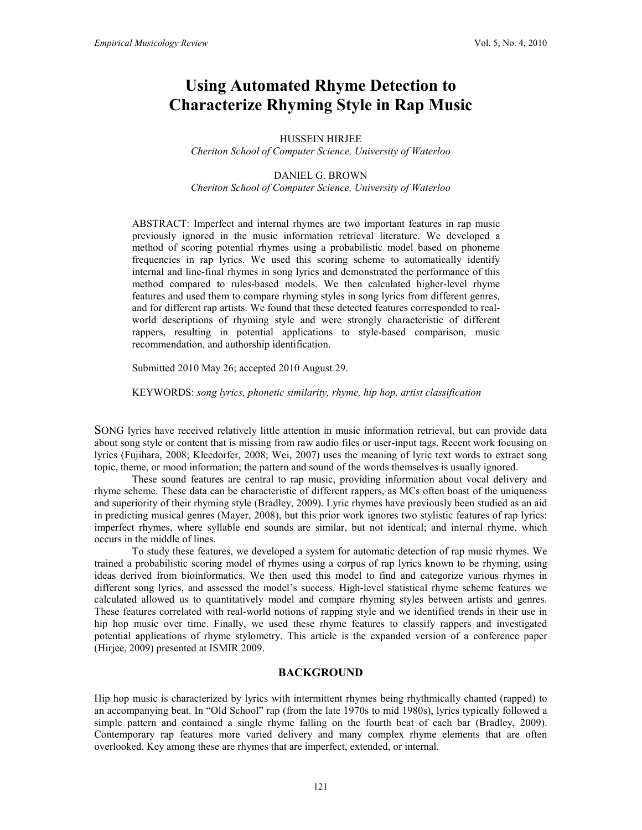# **Using Automated Rhyme Detection to Characterize Rhyming Style in Rap Music**

### HUSSEIN HIRJEE

*Cheriton School of Computer Science, University of Waterloo* 

# DANIEL G. BROWN

*Cheriton School of Computer Science, University of Waterloo* 

ABSTRACT: Imperfect and internal rhymes are two important features in rap music previously ignored in the music information retrieval literature. We developed a method of scoring potential rhymes using a probabilistic model based on phoneme frequencies in rap lyrics. We used this scoring scheme to automatically identify internal and line-final rhymes in song lyrics and demonstrated the performance of this method compared to rules-based models. We then calculated higher-level rhyme features and used them to compare rhyming styles in song lyrics from different genres, and for different rap artists. We found that these detected features corresponded to realworld descriptions of rhyming style and were strongly characteristic of different rappers, resulting in potential applications to style-based comparison, music recommendation, and authorship identification.

Submitted 2010 May 26; accepted 2010 August 29.

KEYWORDS: *song lyrics, phonetic similarity, rhyme, hip hop, artist classification* 

SONG lyrics have received relatively little attention in music information retrieval, but can provide data about song style or content that is missing from raw audio files or user-input tags. Recent work focusing on lyrics (Fujihara, 2008; Kleedorfer, 2008; Wei, 2007) uses the meaning of lyric text words to extract song topic, theme, or mood information; the pattern and sound of the words themselves is usually ignored.

 These sound features are central to rap music, providing information about vocal delivery and rhyme scheme. These data can be characteristic of different rappers, as MCs often boast of the uniqueness and superiority of their rhyming style (Bradley, 2009). Lyric rhymes have previously been studied as an aid in predicting musical genres (Mayer, 2008), but this prior work ignores two stylistic features of rap lyrics: imperfect rhymes, where syllable end sounds are similar, but not identical; and internal rhyme, which occurs in the middle of lines.

 To study these features, we developed a system for automatic detection of rap music rhymes. We trained a probabilistic scoring model of rhymes using a corpus of rap lyrics known to be rhyming, using ideas derived from bioinformatics. We then used this model to find and categorize various rhymes in different song lyrics, and assessed the model's success. High-level statistical rhyme scheme features we calculated allowed us to quantitatively model and compare rhyming styles between artists and genres. These features correlated with real-world notions of rapping style and we identified trends in their use in hip hop music over time. Finally, we used these rhyme features to classify rappers and investigated potential applications of rhyme stylometry. This article is the expanded version of a conference paper (Hirjee, 2009) presented at ISMIR 2009.

# **BACKGROUND**

Hip hop music is characterized by lyrics with intermittent rhymes being rhythmically chanted (rapped) to an accompanying beat. In "Old School" rap (from the late 1970s to mid 1980s), lyrics typically followed a simple pattern and contained a single rhyme falling on the fourth beat of each bar (Bradley, 2009). Contemporary rap features more varied delivery and many complex rhyme elements that are often overlooked. Key among these are rhymes that are imperfect, extended, or internal.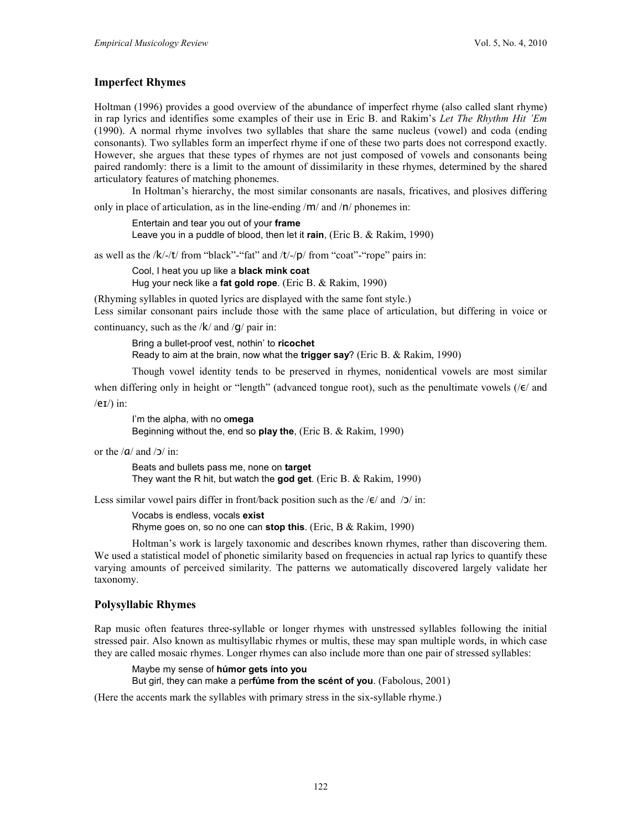## **Imperfect Rhymes**

Holtman (1996) provides a good overview of the abundance of imperfect rhyme (also called slant rhyme) in rap lyrics and identifies some examples of their use in Eric B. and Rakim's *Let The Rhythm Hit 'Em* (1990). A normal rhyme involves two syllables that share the same nucleus (vowel) and coda (ending consonants). Two syllables form an imperfect rhyme if one of these two parts does not correspond exactly. However, she argues that these types of rhymes are not just composed of vowels and consonants being paired randomly: there is a limit to the amount of dissimilarity in these rhymes, determined by the shared articulatory features of matching phonemes.

 In Holtman's hierarchy, the most similar consonants are nasals, fricatives, and plosives differing only in place of articulation, as in the line-ending  $/m/$  and  $/n/$  phonemes in:

 Entertain and tear you out of your **frame**  Leave you in a puddle of blood, then let it **rain**, (Eric B. & Rakim, 1990)

as well as the  $/k/-(t)$  from "black"-"fat" and  $/t/-(p)$  from "coat"-"rope" pairs in:

 Cool, I heat you up like a **black mink coat**  Hug your neck like a **fat gold rope**. (Eric B. & Rakim, 1990)

(Rhyming syllables in quoted lyrics are displayed with the same font style.) Less similar consonant pairs include those with the same place of articulation, but differing in voice or

continuancy, such as the /k/ and /g/ pair in:

 Bring a bullet-proof vest, nothin' to **ricochet**  Ready to aim at the brain, now what the **trigger say**? (Eric B. & Rakim, 1990)

 Though vowel identity tends to be preserved in rhymes, nonidentical vowels are most similar when differing only in height or "length" (advanced tongue root), such as the penultimate vowels  $(\epsilon)$  and  $/$ e $I$ ) in:

 I'm the alpha, with no o**mega**  Beginning without the, end so **play the**, (Eric B. & Rakim, 1990)

or the  $\alpha$  and  $\beta$  in:

 Beats and bullets pass me, none on **target**  They want the R hit, but watch the **god get**. (Eric B. & Rakim, 1990)

Less similar vowel pairs differ in front/back position such as the  $\sqrt{\epsilon}$  and  $\sqrt{2}$  in:

 Vocabs is endless, vocals **exist**  Rhyme goes on, so no one can **stop this**. (Eric, B & Rakim, 1990)

 Holtman's work is largely taxonomic and describes known rhymes, rather than discovering them. We used a statistical model of phonetic similarity based on frequencies in actual rap lyrics to quantify these varying amounts of perceived similarity. The patterns we automatically discovered largely validate her taxonomy.

# **Polysyllabic Rhymes**

Rap music often features three-syllable or longer rhymes with unstressed syllables following the initial stressed pair. Also known as multisyllabic rhymes or multis, these may span multiple words, in which case they are called mosaic rhymes. Longer rhymes can also include more than one pair of stressed syllables:

 Maybe my sense of **húmor gets ínto you**  But girl, they can make a per**fúme from the scént of you**. (Fabolous, 2001)

(Here the accents mark the syllables with primary stress in the six-syllable rhyme.)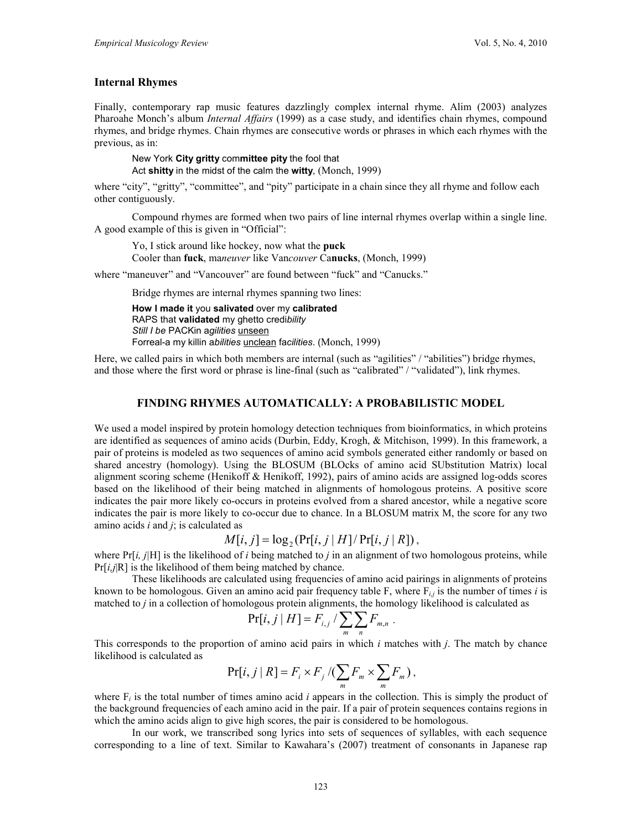### **Internal Rhymes**

Finally, contemporary rap music features dazzlingly complex internal rhyme. Alim (2003) analyzes Pharoahe Monch's album *Internal Affairs* (1999) as a case study, and identifies chain rhymes, compound rhymes, and bridge rhymes. Chain rhymes are consecutive words or phrases in which each rhymes with the previous, as in:

New York **City gritty** com**mittee pity** the fool that Act **shitty** in the midst of the calm the **witty**, (Monch, 1999)

where "city", "gritty", "committee", and "pity" participate in a chain since they all rhyme and follow each other contiguously.

 Compound rhymes are formed when two pairs of line internal rhymes overlap within a single line. A good example of this is given in "Official":

 Yo, I stick around like hockey, now what the **puck**  Cooler than **fuck**, ma*neuver* like Van*couver* Ca**nucks**, (Monch, 1999)

where "maneuver" and "Vancouver" are found between "fuck" and "Canucks."

Bridge rhymes are internal rhymes spanning two lines:

**How I made it** you **salivated** over my **calibrated**  RAPS that **validated** my ghetto credi*bility Still I be* PACKin a*gilities* unseen Forreal-a my killin a*bilities* unclean fa*cilities*. (Monch, 1999)

Here, we called pairs in which both members are internal (such as "agilities" / "abilities") bridge rhymes, and those where the first word or phrase is line-final (such as "calibrated" / "validated"), link rhymes.

# **FINDING RHYMES AUTOMATICALLY: A PROBABILISTIC MODEL**

We used a model inspired by protein homology detection techniques from bioinformatics, in which proteins are identified as sequences of amino acids (Durbin, Eddy, Krogh, & Mitchison, 1999). In this framework, a pair of proteins is modeled as two sequences of amino acid symbols generated either randomly or based on shared ancestry (homology). Using the BLOSUM (BLOcks of amino acid SUbstitution Matrix) local alignment scoring scheme (Henikoff & Henikoff, 1992), pairs of amino acids are assigned log-odds scores based on the likelihood of their being matched in alignments of homologous proteins. A positive score indicates the pair more likely co-occurs in proteins evolved from a shared ancestor, while a negative score indicates the pair is more likely to co-occur due to chance. In a BLOSUM matrix M, the score for any two amino acids *i* and *j*; is calculated as

$$
M[i, j] = \log_2(\Pr[i, j | H] / \Pr[i, j | R]),
$$

where Pr[*i, j*|H] is the likelihood of *i* being matched to *j* in an alignment of two homologous proteins, while  $Pr[i,j|R]$  is the likelihood of them being matched by chance.

 These likelihoods are calculated using frequencies of amino acid pairings in alignments of proteins known to be homologous. Given an amino acid pair frequency table F, where  $F_{i,j}$  is the number of times *i* is matched to *j* in a collection of homologous protein alignments, the homology likelihood is calculated as

$$
Pr[i, j | H] = F_{i,j} / \sum_{m} \sum_{n} F_{m,n}.
$$

This corresponds to the proportion of amino acid pairs in which *i* matches with *j*. The match by chance likelihood is calculated as

$$
Pr[i, j | R] = F_i \times F_j / (\sum_m F_m \times \sum_m F_m),
$$

where  $F_i$  is the total number of times amino acid *i* appears in the collection. This is simply the product of the background frequencies of each amino acid in the pair. If a pair of protein sequences contains regions in which the amino acids align to give high scores, the pair is considered to be homologous.

 In our work, we transcribed song lyrics into sets of sequences of syllables, with each sequence corresponding to a line of text. Similar to Kawahara's (2007) treatment of consonants in Japanese rap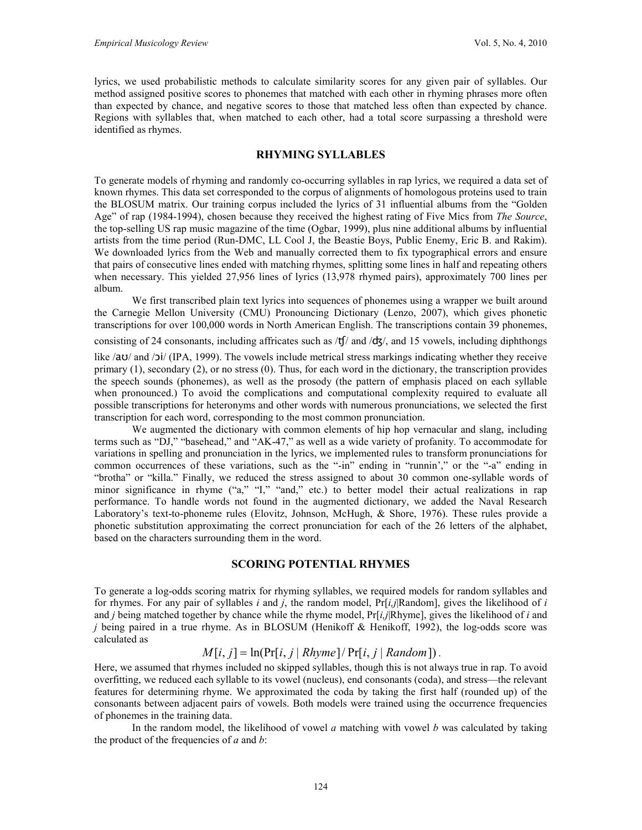lyrics, we used probabilistic methods to calculate similarity scores for any given pair of syllables. Our method assigned positive scores to phonemes that matched with each other in rhyming phrases more often than expected by chance, and negative scores to those that matched less often than expected by chance. Regions with syllables that, when matched to each other, had a total score surpassing a threshold were identified as rhymes.

# **RHYMING SYLLABLES**

To generate models of rhyming and randomly co-occurring syllables in rap lyrics, we required a data set of known rhymes. This data set corresponded to the corpus of alignments of homologous proteins used to train the BLOSUM matrix. Our training corpus included the lyrics of 31 influential albums from the "Golden Age" of rap (1984-1994), chosen because they received the highest rating of Five Mics from *The Source*, the top-selling US rap music magazine of the time (Ogbar, 1999), plus nine additional albums by influential artists from the time period (Run-DMC, LL Cool J, the Beastie Boys, Public Enemy, Eric B. and Rakim). We downloaded lyrics from the Web and manually corrected them to fix typographical errors and ensure that pairs of consecutive lines ended with matching rhymes, splitting some lines in half and repeating others when necessary. This yielded 27,956 lines of lyrics (13,978 rhymed pairs), approximately 700 lines per album.

We first transcribed plain text lyrics into sequences of phonemes using a wrapper we built around the Carnegie Mellon University (CMU) Pronouncing Dictionary (Lenzo, 2007), which gives phonetic transcriptions for over 100,000 words in North American English. The transcriptions contain 39 phonemes, consisting of 24 consonants, including affricates such as  $\langle t \overline{t} \rangle$  and  $\langle d \overline{t} \rangle$ , and 15 vowels, including diphthongs

like  $a\sigma$  and  $\sigma$ i/ (IPA, 1999). The vowels include metrical stress markings indicating whether they receive primary (1), secondary (2), or no stress (0). Thus, for each word in the dictionary, the transcription provides the speech sounds (phonemes), as well as the prosody (the pattern of emphasis placed on each syllable when pronounced.) To avoid the complications and computational complexity required to evaluate all possible transcriptions for heteronyms and other words with numerous pronunciations, we selected the first transcription for each word, corresponding to the most common pronunciation.

 We augmented the dictionary with common elements of hip hop vernacular and slang, including terms such as "DJ," "basehead," and "AK-47," as well as a wide variety of profanity. To accommodate for variations in spelling and pronunciation in the lyrics, we implemented rules to transform pronunciations for common occurrences of these variations, such as the "-in" ending in "runnin'," or the "-a" ending in "brotha" or "killa." Finally, we reduced the stress assigned to about 30 common one-syllable words of minor significance in rhyme ("a," "I," "and," etc.) to better model their actual realizations in rap performance. To handle words not found in the augmented dictionary, we added the Naval Research Laboratory's text-to-phoneme rules (Elovitz, Johnson, McHugh, & Shore, 1976). These rules provide a phonetic substitution approximating the correct pronunciation for each of the 26 letters of the alphabet, based on the characters surrounding them in the word.

### **SCORING POTENTIAL RHYMES**

To generate a log-odds scoring matrix for rhyming syllables, we required models for random syllables and for rhymes. For any pair of syllables *i* and *j*, the random model, Pr[*i,j*|Random], gives the likelihood of *i* and *j* being matched together by chance while the rhyme model, Pr[*i,j*|Rhyme], gives the likelihood of *i* and *j* being paired in a true rhyme. As in BLOSUM (Henikoff & Henikoff, 1992), the log-odds score was calculated as

# $M[i, j] = \ln(\Pr[i, j | Rhvme]/\Pr[i, j | Random]).$

Here, we assumed that rhymes included no skipped syllables, though this is not always true in rap. To avoid overfitting, we reduced each syllable to its vowel (nucleus), end consonants (coda), and stress—the relevant features for determining rhyme. We approximated the coda by taking the first half (rounded up) of the consonants between adjacent pairs of vowels. Both models were trained using the occurrence frequencies of phonemes in the training data.

 In the random model, the likelihood of vowel *a* matching with vowel *b* was calculated by taking the product of the frequencies of *a* and *b*: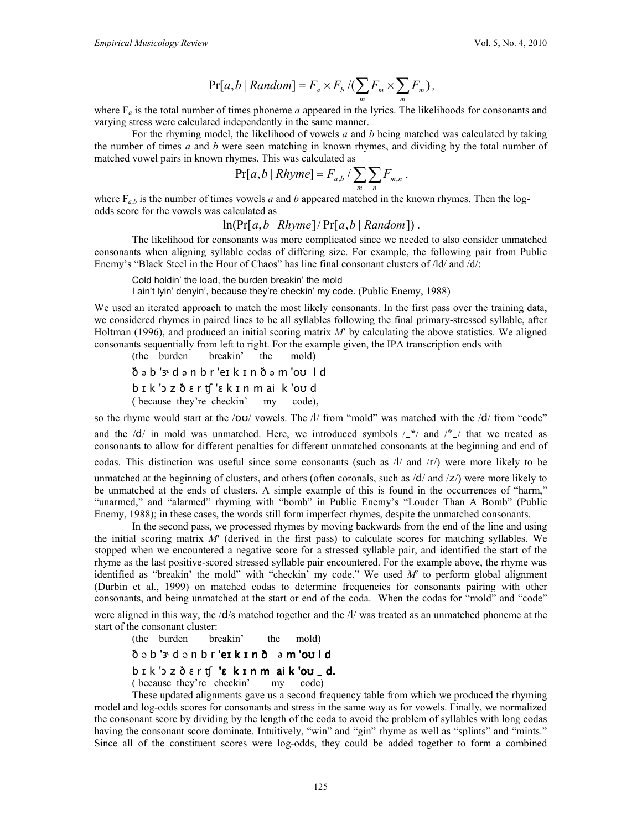$$
Pr[a,b | Random] = F_a \times F_b / (\sum_m F_m \times \sum_m F_m),
$$

where  $F_a$  is the total number of times phoneme *a* appeared in the lyrics. The likelihoods for consonants and varying stress were calculated independently in the same manner.

 For the rhyming model, the likelihood of vowels *a* and *b* being matched was calculated by taking the number of times *a* and *b* were seen matching in known rhymes, and dividing by the total number of matched vowel pairs in known rhymes. This was calculated as

$$
Pr[a,b | Rhyme] = F_{a,b} / \sum_{m} \sum_{n} F_{m,n},
$$

where  $F_{ab}$  is the number of times vowels *a* and *b* appeared matched in the known rhymes. Then the logodds score for the vowels was calculated as

 $ln(Pr[a, b | Rhyme]/Pr[a, b | Random]).$ 

 The likelihood for consonants was more complicated since we needed to also consider unmatched consonants when aligning syllable codas of differing size. For example, the following pair from Public Enemy's "Black Steel in the Hour of Chaos" has line final consonant clusters of /ld/ and /d/:

Cold holdin' the load, the burden breakin' the mold

I ain't lyin' denyin', because they're checkin' my code. (Public Enemy, 1988)

We used an iterated approach to match the most likely consonants. In the first pass over the training data, we considered rhymes in paired lines to be all syllables following the final primary-stressed syllable, after Holtman (1996), and produced an initial scoring matrix *M*′ by calculating the above statistics. We aligned consonants sequentially from left to right. For the example given, the IPA transcription ends with

(the burden breakin' the mold)

ð a b 'ʒ d a n b r 'eɪ k ɪ n ð a m 'oʊ l d

b I k ' Σ ð ε r tf 'ε k I n m ai k 'ov d

( because they're checkin' my code),

so the rhyme would start at the /ov/ vowels. The /l/ from "mold" was matched with the /d/ from "code" and the /d/ in mold was unmatched. Here, we introduced symbols  $/\gamma$  and  $/\gamma$  that we treated as consonants to allow for different penalties for different unmatched consonants at the beginning and end of codas. This distinction was useful since some consonants (such as  $/1/$  and  $/r/$ ) were more likely to be unmatched at the beginning of clusters, and others (often coronals, such as  $\frac{d}{dx}$  and  $\frac{z}{z}$ ) were more likely to be unmatched at the ends of clusters. A simple example of this is found in the occurrences of "harm," "unarmed," and "alarmed" rhyming with "bomb" in Public Enemy's "Louder Than A Bomb" (Public Enemy, 1988); in these cases, the words still form imperfect rhymes, despite the unmatched consonants.

 In the second pass, we processed rhymes by moving backwards from the end of the line and using the initial scoring matrix *M*′ (derived in the first pass) to calculate scores for matching syllables. We stopped when we encountered a negative score for a stressed syllable pair, and identified the start of the rhyme as the last positive-scored stressed syllable pair encountered. For the example above, the rhyme was identified as "breakin' the mold" with "checkin' my code." We used *M*′ to perform global alignment (Durbin et al., 1999) on matched codas to determine frequencies for consonants pairing with other consonants, and being unmatched at the start or end of the coda. When the codas for "mold" and "code"

were aligned in this way, the /d/s matched together and the /l/ was treated as an unmatched phoneme at the start of the consonant cluster:

(the burden breakin' the mold)

ð ə b 'ǭ d ə n b r 'eǺ k Ǻ n ð **ə** m 'oȚ l d

 $b$   $k$  ' $c$   $c$   $\delta$   $\epsilon$  r  $f$  ' $\epsilon$  k  $n$  m ai k 'ou  $d$ .

( because they're checkin' my code)

These updated alignments gave us a second frequency table from which we produced the rhyming model and log-odds scores for consonants and stress in the same way as for vowels. Finally, we normalized the consonant score by dividing by the length of the coda to avoid the problem of syllables with long codas having the consonant score dominate. Intuitively, "win" and "gin" rhyme as well as "splints" and "mints." Since all of the constituent scores were log-odds, they could be added together to form a combined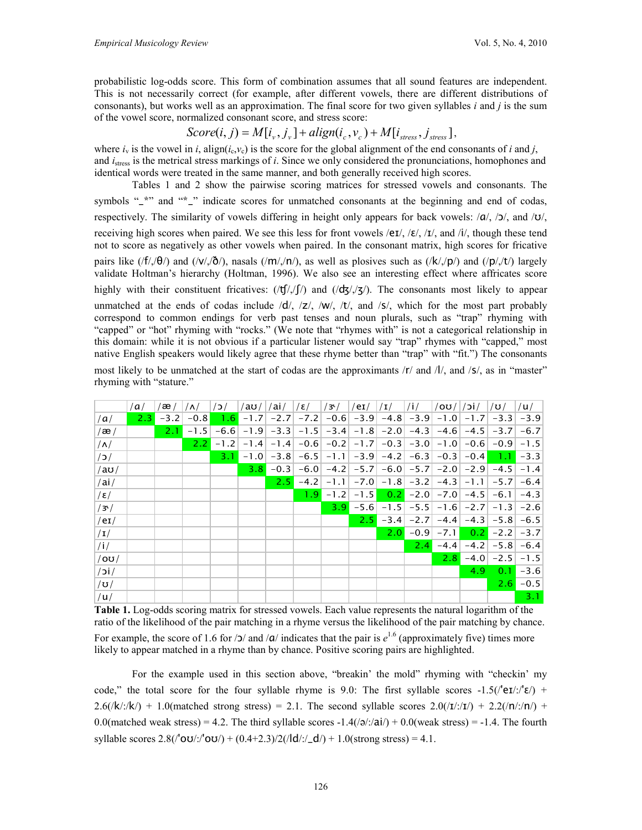probabilistic log-odds score. This form of combination assumes that all sound features are independent. This is not necessarily correct (for example, after different vowels, there are different distributions of consonants), but works well as an approximation. The final score for two given syllables *i* and *j* is the sum of the vowel score, normalized consonant score, and stress score:

 $Score(i, j) = M[i_v, j_v] + align(i_e, v_e) + M[i_{stress}, j_{stress}]$ ,

where  $i_v$  is the vowel in *i*, align( $i_c$ , $v_c$ ) is the score for the global alignment of the end consonants of *i* and *j*, and *i*stress is the metrical stress markings of *i*. Since we only considered the pronunciations, homophones and identical words were treated in the same manner, and both generally received high scores.

 Tables 1 and 2 show the pairwise scoring matrices for stressed vowels and consonants. The symbols " $\zeta$ " and " $\zeta$ " indicate scores for unmatched consonants at the beginning and end of codas, respectively. The similarity of vowels differing in height only appears for back vowels:  $\overline{a}$ ,  $\overline{a}$ ,  $\overline{b}$ , and  $\overline{b}$ , receiving high scores when paired. We see this less for front vowels /eɪ/, /ɛ/, /ɪ/, and /i/, though these tend not to score as negatively as other vowels when paired. In the consonant matrix, high scores for fricative pairs like (/f/,/ $\theta$ /) and (/v/, $\delta$ /), nasals (/m/,/n/), as well as plosives such as (/k/,/ $p$ /) and (/p/,/t/) largely validate Holtman's hierarchy (Holtman, 1996). We also see an interesting effect where affricates score highly with their constituent fricatives:  $(\frac{\pi}{\sqrt{}})/\int$  and  $(\frac{\pi}{\sqrt{}})/\int$ . The consonants most likely to appear unmatched at the ends of codas include  $/d/$ ,  $/z/$ ,  $/w/$ ,  $/t/$ , and  $/s/$ , which for the most part probably correspond to common endings for verb past tenses and noun plurals, such as "trap" rhyming with "capped" or "hot" rhyming with "rocks." (We note that "rhymes with" is not a categorical relationship in this domain: while it is not obvious if a particular listener would say "trap" rhymes with "capped," most native English speakers would likely agree that these rhyme better than "trap" with "fit.") The consonants most likely to be unmatched at the start of codas are the approximants /r/ and /l/, and /s/, as in "master" rhyming with "stature."

|                       | /a/    | $/\text{ae}/$ | $\Lambda$ | $\sqrt{2}$ | $\alpha$ /au / $\alpha$ / $\alpha$ / $\alpha$ / $\alpha$ | $\frac{1}{3}$ / $\frac{1}{eI}/\frac{1}{I}/\frac{1}{i}/\frac{1}{\sqrt{2}}$ /00/ $\frac{1}{2}$ |  |  |     |                                                                                                                                                                                                | /u/         |
|-----------------------|--------|---------------|-----------|------------|----------------------------------------------------------|----------------------------------------------------------------------------------------------|--|--|-----|------------------------------------------------------------------------------------------------------------------------------------------------------------------------------------------------|-------------|
| /a/                   | $-2.3$ | $-3.2$        | $-0.8$    |            |                                                          |                                                                                              |  |  |     | $-1.6$ $-1.7$ $-2.7$ $-7.2$ $-0.6$ $-3.9$ $-4.8$ $-3.9$ $-1.0$ $-1.7$ $-3.3$ $-3.9$                                                                                                            |             |
| $/\mathbf{a}$         |        | 2.1           |           |            |                                                          |                                                                                              |  |  |     | $-1.5$ $-6.6$ $-1.9$ $-3.3$ $-1.5$ $-3.4$ $-1.8$ $-2.0$ $-4.3$ $-4.6$ $-4.5$ $-3.7$ $-6.7$                                                                                                     |             |
| $/\Lambda/$           |        |               | 2.2       | $-1.2$     |                                                          |                                                                                              |  |  |     | $-1.4$ $-1.4$ $-0.6$ $-0.2$ $-1.7$ $-0.3$ $-3.0$ $-1.0$ $-0.6$ $-0.9$ $-1.5$                                                                                                                   |             |
| c                     |        |               |           |            |                                                          |                                                                                              |  |  |     | $\overline{3.1}$ -1.0 -3.8 -6.5 -1.1 -3.9 -4.2 -6.3 -0.3 -0.4 1.1 -3.3                                                                                                                         |             |
| $/$ a $U/$            |        |               |           |            |                                                          |                                                                                              |  |  |     | $\left  \frac{3.8}{2} \right $ -0.3 $\left  \frac{-6.0}{24.2} \right $ -5.7 $\left  \frac{-6.0}{23.7} \right $ -2.0 $\left  \frac{-2.9}{23.9} \right $ -4.5 $\left  \frac{-1.4}{24.9} \right $ |             |
| /ai/                  |        |               |           |            | 2.5                                                      |                                                                                              |  |  |     | $-4.2$ $-1.1$ $-7.0$ $-1.8$ $-3.2$ $-4.3$ $-1.1$ $-5.7$ $-6.4$                                                                                                                                 |             |
| $\sqrt{\epsilon/2}$   |        |               |           |            |                                                          |                                                                                              |  |  |     | $\begin{bmatrix} 1.9 & -1.2 & -1.5 & 0.2 & -2.0 & -7.0 & -4.5 & -6.1 & -4.3 \end{bmatrix}$                                                                                                     |             |
| $/3$ <sup>-</sup> $/$ |        |               |           |            |                                                          |                                                                                              |  |  |     | $3.9$ -5.6 -1.5 -5.5 -1.6 -2.7 -1.3 -2.6                                                                                                                                                       |             |
| $/$ er $/$            |        |               |           |            |                                                          |                                                                                              |  |  |     | $2.5$ -3.4 -2.7 -4.4 -4.3 -5.8 -6.5                                                                                                                                                            |             |
| /1/                   |        |               |           |            |                                                          |                                                                                              |  |  |     | $2.0$ -0.9 -7.1 0.2 -2.2 -3.7                                                                                                                                                                  |             |
| $\frac{1}{\sqrt{1}}$  |        |               |           |            |                                                          |                                                                                              |  |  |     | $2.4$ -4.4 -4.2 -5.8 -6.4                                                                                                                                                                      |             |
| $ /$ oʊ $/$           |        |               |           |            |                                                          |                                                                                              |  |  |     | $2.8$ -4.0 -2.5 -1.5                                                                                                                                                                           |             |
| $/$ $i$ /             |        |               |           |            |                                                          |                                                                                              |  |  | 4.9 |                                                                                                                                                                                                | $0.1 - 3.6$ |
| /ʊ/                   |        |               |           |            |                                                          |                                                                                              |  |  |     |                                                                                                                                                                                                | $2.6 - 0.5$ |
| /u/                   |        |               |           |            |                                                          |                                                                                              |  |  |     |                                                                                                                                                                                                | 3.1         |

**Table 1.** Log-odds scoring matrix for stressed vowels. Each value represents the natural logarithm of the ratio of the likelihood of the pair matching in a rhyme versus the likelihood of the pair matching by chance. For example, the score of 1.6 for  $/$ **a** $/$  and  $/$ **a** $/$  indicates that the pair is  $e^{1.6}$  (approximately five) times more likely to appear matched in a rhyme than by chance. Positive scoring pairs are highlighted.

 For the example used in this section above, "breakin' the mold" rhyming with "checkin' my code," the total score for the four syllable rhyme is 9.0: The first syllable scores  $-1.5('ee1':'z') +$  $2.6(|k|/k) + 1.0$ (matched strong stress) = 2.1. The second syllable scores  $2.0(|1/|I|) + 2.2(|n|/n) + 1.0$ 0.0(matched weak stress) = 4.2. The third syllable scores  $-1.4/(\frac{\alpha}{2})$  + 0.0(weak stress) = -1.4. The fourth syllable scores  $2.8('0U'/'0U') + (0.4+2.3)/2(|d!/c/d') + 1.0({\text{strong stress}}) = 4.1$ .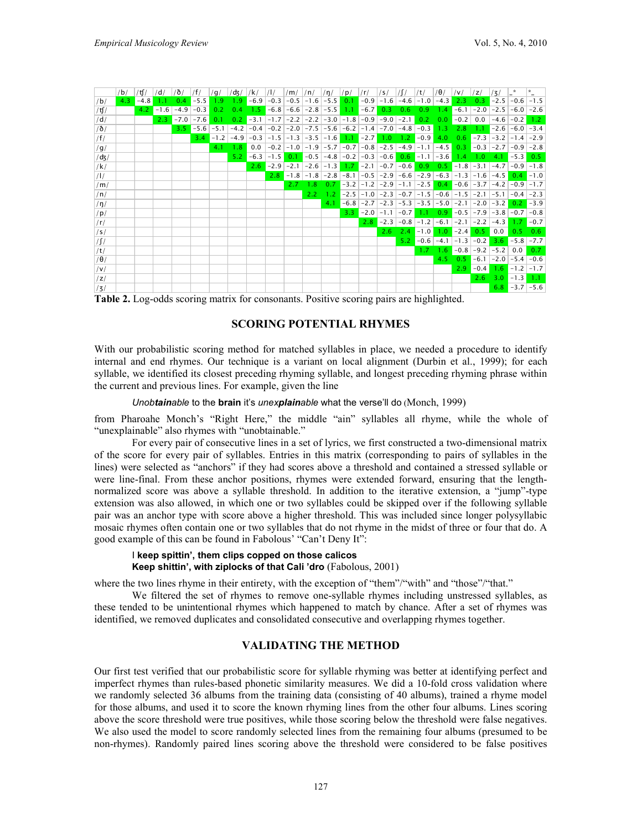|              | /b/ | /π | /d/             | $\delta/$                | /f/ | /g/ /dʒ/ /k/ |         | / /                                                                                                                                           |  |     | $ /m/$ $ /n/$ $ /n/$ $ /p/$ $ /r/$ $ /s/$ | $\frac{1}{\sqrt{2}}$ | /t/     | $/ \theta /$ | v | z                                                                                                                                             | z |                 |                        |
|--------------|-----|----|-----------------|--------------------------|-----|--------------|---------|-----------------------------------------------------------------------------------------------------------------------------------------------|--|-----|-------------------------------------------|----------------------|---------|--------------|---|-----------------------------------------------------------------------------------------------------------------------------------------------|---|-----------------|------------------------|
| /b/          |     |    | $4.3 - 4.8$ 1.1 |                          |     |              |         | 0.4 -5.5 1.9 1.9 -6.9 -0.3 -0.5 -1.6 -5.5 0.1 -0.9 -1.6 -4.6 -1.0 -4.3 2.3 0.3 -2.5 -0.6 -1.5                                                 |  |     |                                           |                      |         |              |   |                                                                                                                                               |   |                 |                        |
| /∬           |     |    |                 | $4.2$ -1.6 -4.9 -0.3 0.2 |     |              |         | 0.4 1.5 $-6.8$ $-6.6$ $-2.8$ $-5.5$ 1.1 $-6.7$ 0.3 0.6 0.9 1.4 $-6.1$ $-2.0$ $-2.5$ $-6.0$ $-2.6$                                             |  |     |                                           |                      |         |              |   |                                                                                                                                               |   |                 |                        |
| /d/          |     |    |                 | $2.3$ -7.0 -7.6 0.1      |     |              |         | 0.2 -3.1 -1.7 -2.2 -2.2 -3.0 -1.8 -0.9 -9.0 -2.1 0.2 0.0 -0.2 0.0 -4.6 -0.2 1.2                                                               |  |     |                                           |                      |         |              |   |                                                                                                                                               |   |                 |                        |
| $/ \delta/$  |     |    |                 |                          |     |              |         | <b>3.5</b> $-5.6$ $-5.1$ $-4.2$ $-0.4$ $-0.2$ $-2.0$ $-7.5$ $-5.6$ $-6.2$ $-1.4$ $-7.0$ $-4.8$ $-0.3$ <b>1.3</b> 2.8 1.1 $-2.6$ $-6.0$ $-3.4$ |  |     |                                           |                      |         |              |   |                                                                                                                                               |   |                 |                        |
| /f/          |     |    |                 |                          |     |              |         | $3.4$ -1.2 -4.9 -0.3 -1.5 -1.3 -3.5 -1.6 1.1 -2.7 1.0 1.2 -0.9 4.0 0.6 -7.3 -3.2 -1.4 -2.9                                                    |  |     |                                           |                      |         |              |   |                                                                                                                                               |   |                 |                        |
| /g/          |     |    |                 |                          |     | 4.1          |         | <b>1.8</b> 0.0 $ -0.2 -1.0 -1.9 -5.7 -0.7 -0.8 -2.5 -4.9 -1.1 -4.5$ 0.3 $-0.3 -2.7 -0.9 -2.8$                                                 |  |     |                                           |                      |         |              |   |                                                                                                                                               |   |                 |                        |
| 1/dz/        |     |    |                 |                          |     |              |         | 5.2 $-6.3$ $-1.5$ 0.1 $-0.5$ $-4.8$ $-0.2$ $-0.3$ $-0.6$ 0.6 $-1.1$ $-3.6$ 1.4 1.0 4.1 $-5.3$ 0.5                                             |  |     |                                           |                      |         |              |   |                                                                                                                                               |   |                 |                        |
| /k/          |     |    |                 |                          |     |              | $2.6 -$ | $-2.9$ $-2.1$ $-2.6$ $-1.3$ 1.7 $-2.1$ $-0.7$ $-0.6$ 0.9 0.5 $-1.8$ $-3.1$ $-4.7$ $-0.9$ $-1.8$                                               |  |     |                                           |                      |         |              |   |                                                                                                                                               |   |                 |                        |
| /            |     |    |                 |                          |     |              |         |                                                                                                                                               |  |     |                                           |                      |         |              |   | 2.8 -1.8 -1.8 -2.8 -8.1 -0.5 -2.9 -6.6 -2.9 -6.3 -1.3 -1.6 -4.5 0.4 -1.0                                                                      |   |                 |                        |
| /m/          |     |    |                 |                          |     |              |         |                                                                                                                                               |  |     |                                           |                      |         |              |   | 2.7 1.8 0.7 -3.2 -1.2 -2.9 -1.1 -2.5 0.4 -0.6 -3.7 -4.2 -0.9 -1.7                                                                             |   |                 |                        |
| /n/          |     |    |                 |                          |     |              |         |                                                                                                                                               |  |     |                                           |                      |         |              |   | 2.2 1.2 -2.5 -1.0 -2.3 -0.7 -1.5 -0.6 -1.5 -2.1 -5.1 -0.4 -2.3                                                                                |   |                 |                        |
| $/ \eta /$   |     |    |                 |                          |     |              |         |                                                                                                                                               |  | 4.1 |                                           |                      |         |              |   | $\vert$ -6.8 $\vert$ -2.7 $\vert$ -2.3 $\vert$ -5.3 $\vert$ -3.5 $\vert$ -5.0 $\vert$ -2.1 $\vert$ -2.0 $\vert$ -3.2 $\vert$ 0.2 $\vert$ -3.9 |   |                 |                        |
| p/           |     |    |                 |                          |     |              |         |                                                                                                                                               |  |     |                                           |                      |         |              |   |                                                                                                                                               |   |                 |                        |
| /r/          |     |    |                 |                          |     |              |         |                                                                                                                                               |  |     |                                           |                      |         |              |   | $2.8$ -2.3 -0.8 -1.2 -6.1 -2.1 -2.2 -4.3 1.7 -0.7                                                                                             |   |                 |                        |
| /s/          |     |    |                 |                          |     |              |         |                                                                                                                                               |  |     |                                           |                      |         |              |   | 2.6 2.4 -1.0 1.0 -2.4 0.5 0.0 0.5 0.6                                                                                                         |   |                 |                        |
| /∫           |     |    |                 |                          |     |              |         |                                                                                                                                               |  |     |                                           |                      |         |              |   |                                                                                                                                               |   |                 |                        |
| /t/          |     |    |                 |                          |     |              |         |                                                                                                                                               |  |     |                                           |                      | $1.7 -$ |              |   | $1.6$ -0.8 -9.2 -5.2 0.0 0.7                                                                                                                  |   |                 |                        |
| $/ \theta /$ |     |    |                 |                          |     |              |         |                                                                                                                                               |  |     |                                           |                      |         |              |   | 4.5 $0.5$ -6.1 -2.0 -5.4 -0.6                                                                                                                 |   |                 |                        |
| v            |     |    |                 |                          |     |              |         |                                                                                                                                               |  |     |                                           |                      |         |              |   | $2.9 - 0.4$ 1.6 $-1.2 - 1.7$                                                                                                                  |   |                 |                        |
| z            |     |    |                 |                          |     |              |         |                                                                                                                                               |  |     |                                           |                      |         |              |   |                                                                                                                                               |   |                 | $2.6$ $3.0$ $-1.3$ 1.1 |
| 1/3/         |     |    |                 |                          |     |              |         |                                                                                                                                               |  |     |                                           |                      |         |              |   |                                                                                                                                               |   | $6.8$ -3.7 -5.6 |                        |

**Table 2.** Log-odds scoring matrix for consonants. Positive scoring pairs are highlighted.

# **SCORING POTENTIAL RHYMES**

With our probabilistic scoring method for matched syllables in place, we needed a procedure to identify internal and end rhymes. Our technique is a variant on local alignment (Durbin et al., 1999); for each syllable, we identified its closest preceding rhyming syllable, and longest preceding rhyming phrase within the current and previous lines. For example, given the line

#### *Unobtainable* to the **brain** it's *unexplainable* what the verse'll do (Monch, 1999)

from Pharoahe Monch's "Right Here," the middle "ain" syllables all rhyme, while the whole of "unexplainable" also rhymes with "unobtainable."

 For every pair of consecutive lines in a set of lyrics, we first constructed a two-dimensional matrix of the score for every pair of syllables. Entries in this matrix (corresponding to pairs of syllables in the lines) were selected as "anchors" if they had scores above a threshold and contained a stressed syllable or were line-final. From these anchor positions, rhymes were extended forward, ensuring that the lengthnormalized score was above a syllable threshold. In addition to the iterative extension, a "jump"-type extension was also allowed, in which one or two syllables could be skipped over if the following syllable pair was an anchor type with score above a higher threshold. This was included since longer polysyllabic mosaic rhymes often contain one or two syllables that do not rhyme in the midst of three or four that do. A good example of this can be found in Fabolous' "Can't Deny It":

#### I **keep spittin', them clips copped on those calicos Keep shittin', with ziplocks of that Cali 'dro** (Fabolous, 2001)

where the two lines rhyme in their entirety, with the exception of "them"/"with" and "those"/"that."

 We filtered the set of rhymes to remove one-syllable rhymes including unstressed syllables, as these tended to be unintentional rhymes which happened to match by chance. After a set of rhymes was identified, we removed duplicates and consolidated consecutive and overlapping rhymes together.

# **VALIDATING THE METHOD**

Our first test verified that our probabilistic score for syllable rhyming was better at identifying perfect and imperfect rhymes than rules-based phonetic similarity measures. We did a 10-fold cross validation where we randomly selected 36 albums from the training data (consisting of 40 albums), trained a rhyme model for those albums, and used it to score the known rhyming lines from the other four albums. Lines scoring above the score threshold were true positives, while those scoring below the threshold were false negatives. We also used the model to score randomly selected lines from the remaining four albums (presumed to be non-rhymes). Randomly paired lines scoring above the threshold were considered to be false positives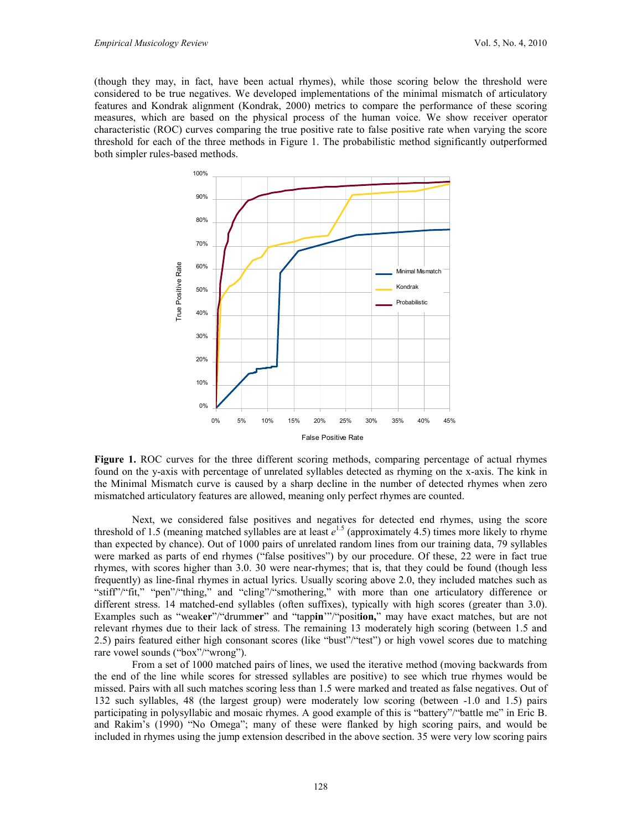(though they may, in fact, have been actual rhymes), while those scoring below the threshold were considered to be true negatives. We developed implementations of the minimal mismatch of articulatory features and Kondrak alignment (Kondrak, 2000) metrics to compare the performance of these scoring measures, which are based on the physical process of the human voice. We show receiver operator characteristic (ROC) curves comparing the true positive rate to false positive rate when varying the score threshold for each of the three methods in Figure 1. The probabilistic method significantly outperformed both simpler rules-based methods.



**Figure 1.** ROC curves for the three different scoring methods, comparing percentage of actual rhymes found on the y-axis with percentage of unrelated syllables detected as rhyming on the x-axis. The kink in the Minimal Mismatch curve is caused by a sharp decline in the number of detected rhymes when zero mismatched articulatory features are allowed, meaning only perfect rhymes are counted.

 Next, we considered false positives and negatives for detected end rhymes, using the score threshold of 1.5 (meaning matched syllables are at least  $e^{1.5}$  (approximately 4.5) times more likely to rhyme than expected by chance). Out of 1000 pairs of unrelated random lines from our training data, 79 syllables were marked as parts of end rhymes ("false positives") by our procedure. Of these, 22 were in fact true rhymes, with scores higher than 3.0. 30 were near-rhymes; that is, that they could be found (though less frequently) as line-final rhymes in actual lyrics. Usually scoring above 2.0, they included matches such as "stiff"/"fit," "pen"/"thing," and "cling"/"smothering," with more than one articulatory difference or different stress. 14 matched-end syllables (often suffixes), typically with high scores (greater than 3.0). Examples such as "weak**er**"/"drumm**er**" and "tapp**in**'"/"posit**ion,**" may have exact matches, but are not relevant rhymes due to their lack of stress. The remaining 13 moderately high scoring (between 1.5 and 2.5) pairs featured either high consonant scores (like "bust"/"test") or high vowel scores due to matching rare vowel sounds ("box"/"wrong").

 From a set of 1000 matched pairs of lines, we used the iterative method (moving backwards from the end of the line while scores for stressed syllables are positive) to see which true rhymes would be missed. Pairs with all such matches scoring less than 1.5 were marked and treated as false negatives. Out of 132 such syllables, 48 (the largest group) were moderately low scoring (between -1.0 and 1.5) pairs participating in polysyllabic and mosaic rhymes. A good example of this is "battery"/"battle me" in Eric B. and Rakim's (1990) "No Omega"; many of these were flanked by high scoring pairs, and would be included in rhymes using the jump extension described in the above section. 35 were very low scoring pairs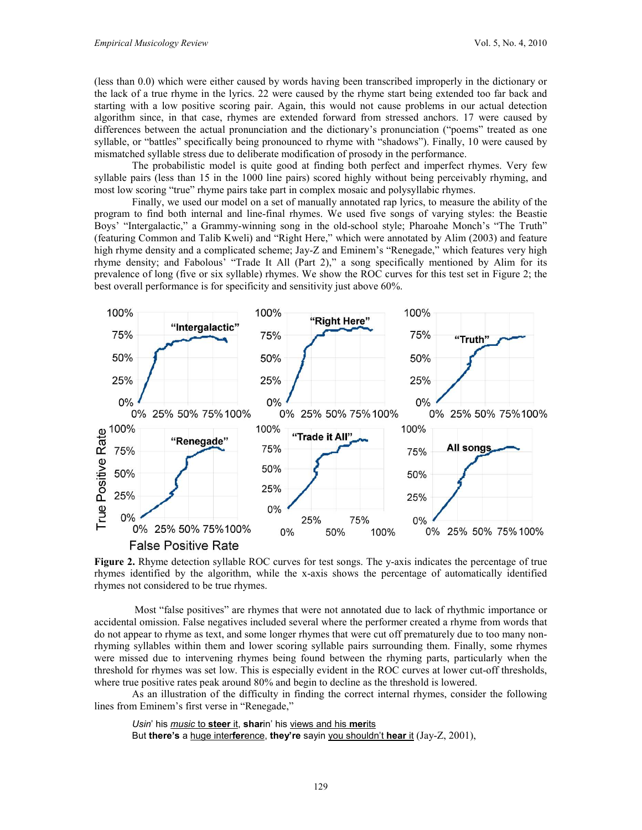(less than 0.0) which were either caused by words having been transcribed improperly in the dictionary or the lack of a true rhyme in the lyrics. 22 were caused by the rhyme start being extended too far back and starting with a low positive scoring pair. Again, this would not cause problems in our actual detection algorithm since, in that case, rhymes are extended forward from stressed anchors. 17 were caused by differences between the actual pronunciation and the dictionary's pronunciation ("poems" treated as one syllable, or "battles" specifically being pronounced to rhyme with "shadows"). Finally, 10 were caused by mismatched syllable stress due to deliberate modification of prosody in the performance.

 The probabilistic model is quite good at finding both perfect and imperfect rhymes. Very few syllable pairs (less than 15 in the 1000 line pairs) scored highly without being perceivably rhyming, and most low scoring "true" rhyme pairs take part in complex mosaic and polysyllabic rhymes.

 Finally, we used our model on a set of manually annotated rap lyrics, to measure the ability of the program to find both internal and line-final rhymes. We used five songs of varying styles: the Beastie Boys' "Intergalactic," a Grammy-winning song in the old-school style; Pharoahe Monch's "The Truth" (featuring Common and Talib Kweli) and "Right Here," which were annotated by Alim (2003) and feature high rhyme density and a complicated scheme; Jay-Z and Eminem's "Renegade," which features very high rhyme density; and Fabolous' "Trade It All (Part 2)," a song specifically mentioned by Alim for its prevalence of long (five or six syllable) rhymes. We show the ROC curves for this test set in Figure 2; the best overall performance is for specificity and sensitivity just above 60%.



**Figure 2.** Rhyme detection syllable ROC curves for test songs. The y-axis indicates the percentage of true rhymes identified by the algorithm, while the x-axis shows the percentage of automatically identified rhymes not considered to be true rhymes.

 Most "false positives" are rhymes that were not annotated due to lack of rhythmic importance or accidental omission. False negatives included several where the performer created a rhyme from words that do not appear to rhyme as text, and some longer rhymes that were cut off prematurely due to too many nonrhyming syllables within them and lower scoring syllable pairs surrounding them. Finally, some rhymes were missed due to intervening rhymes being found between the rhyming parts, particularly when the threshold for rhymes was set low. This is especially evident in the ROC curves at lower cut-off thresholds, where true positive rates peak around 80% and begin to decline as the threshold is lowered.

 As an illustration of the difficulty in finding the correct internal rhymes, consider the following lines from Eminem's first verse in "Renegade,"

*Usin*' his *music* to **steer** it, **shar**in' his views and his **mer**its But **there's** a huge inter**fer**ence, **they're** sayin you shouldn't **hear** it (Jay-Z, 2001),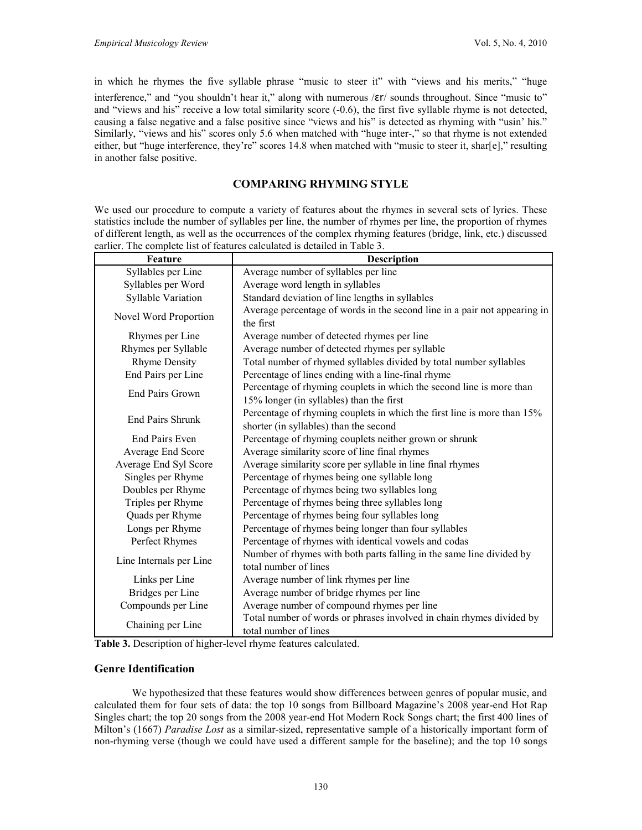in which he rhymes the five syllable phrase "music to steer it" with "views and his merits," "huge interference," and "you shouldn't hear it," along with numerous / $\epsilon$ r/ sounds throughout. Since "music to" and "views and his" receive a low total similarity score (-0.6), the first five syllable rhyme is not detected, causing a false negative and a false positive since "views and his" is detected as rhyming with "usin' his." Similarly, "views and his" scores only 5.6 when matched with "huge inter-," so that rhyme is not extended either, but "huge interference, they're" scores 14.8 when matched with "music to steer it, shar[e]," resulting in another false positive.

# **COMPARING RHYMING STYLE**

We used our procedure to compute a variety of features about the rhymes in several sets of lyrics. These statistics include the number of syllables per line, the number of rhymes per line, the proportion of rhymes of different length, as well as the occurrences of the complex rhyming features (bridge, link, etc.) discussed earlier. The complete list of features calculated is detailed in Table 3.

| Feature                 | <b>Description</b>                                                                                                |
|-------------------------|-------------------------------------------------------------------------------------------------------------------|
| Syllables per Line      | Average number of syllables per line                                                                              |
| Syllables per Word      | Average word length in syllables                                                                                  |
| Syllable Variation      | Standard deviation of line lengths in syllables                                                                   |
| Novel Word Proportion   | Average percentage of words in the second line in a pair not appearing in<br>the first                            |
| Rhymes per Line         | Average number of detected rhymes per line                                                                        |
| Rhymes per Syllable     | Average number of detected rhymes per syllable                                                                    |
| <b>Rhyme Density</b>    | Total number of rhymed syllables divided by total number syllables                                                |
| End Pairs per Line      | Percentage of lines ending with a line-final rhyme                                                                |
| <b>End Pairs Grown</b>  | Percentage of rhyming couplets in which the second line is more than<br>15% longer (in syllables) than the first  |
| <b>End Pairs Shrunk</b> | Percentage of rhyming couplets in which the first line is more than 15%<br>shorter (in syllables) than the second |
| <b>End Pairs Even</b>   | Percentage of rhyming couplets neither grown or shrunk                                                            |
| Average End Score       | Average similarity score of line final rhymes                                                                     |
| Average End Syl Score   | Average similarity score per syllable in line final rhymes                                                        |
| Singles per Rhyme       | Percentage of rhymes being one syllable long                                                                      |
| Doubles per Rhyme       | Percentage of rhymes being two syllables long                                                                     |
| Triples per Rhyme       | Percentage of rhymes being three syllables long                                                                   |
| Quads per Rhyme         | Percentage of rhymes being four syllables long                                                                    |
| Longs per Rhyme         | Percentage of rhymes being longer than four syllables                                                             |
| Perfect Rhymes          | Percentage of rhymes with identical vowels and codas                                                              |
| Line Internals per Line | Number of rhymes with both parts falling in the same line divided by                                              |
|                         | total number of lines                                                                                             |
| Links per Line          | Average number of link rhymes per line                                                                            |
| Bridges per Line        | Average number of bridge rhymes per line                                                                          |
| Compounds per Line      | Average number of compound rhymes per line                                                                        |
| Chaining per Line       | Total number of words or phrases involved in chain rhymes divided by<br>total number of lines                     |

**Table 3.** Description of higher-level rhyme features calculated.

# **Genre Identification**

 We hypothesized that these features would show differences between genres of popular music, and calculated them for four sets of data: the top 10 songs from Billboard Magazine's 2008 year-end Hot Rap Singles chart; the top 20 songs from the 2008 year-end Hot Modern Rock Songs chart; the first 400 lines of Milton's (1667) *Paradise Lost* as a similar-sized, representative sample of a historically important form of non-rhyming verse (though we could have used a different sample for the baseline); and the top 10 songs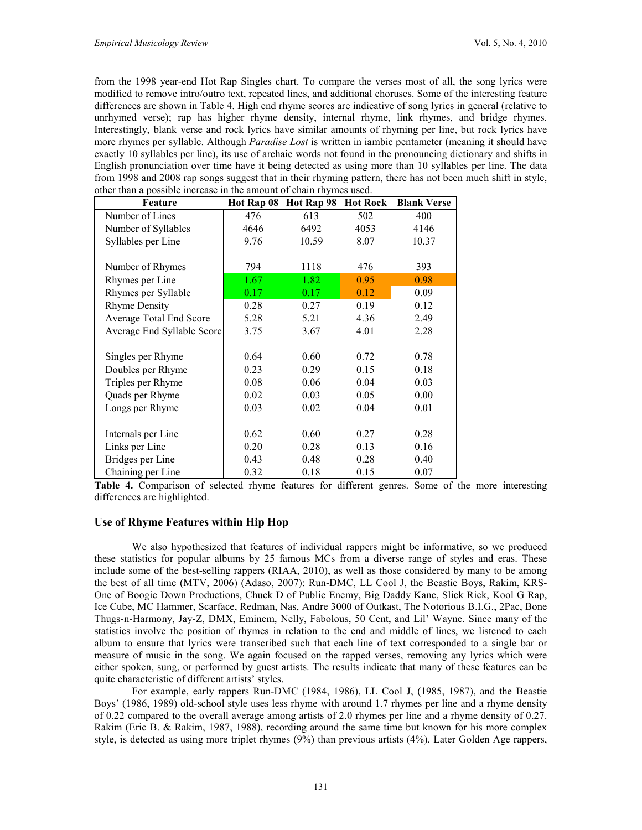from the 1998 year-end Hot Rap Singles chart. To compare the verses most of all, the song lyrics were modified to remove intro/outro text, repeated lines, and additional choruses. Some of the interesting feature differences are shown in Table 4. High end rhyme scores are indicative of song lyrics in general (relative to unrhymed verse); rap has higher rhyme density, internal rhyme, link rhymes, and bridge rhymes. Interestingly, blank verse and rock lyrics have similar amounts of rhyming per line, but rock lyrics have more rhymes per syllable. Although *Paradise Lost* is written in iambic pentameter (meaning it should have exactly 10 syllables per line), its use of archaic words not found in the pronouncing dictionary and shifts in English pronunciation over time have it being detected as using more than 10 syllables per line. The data from 1998 and 2008 rap songs suggest that in their rhyming pattern, there has not been much shift in style, other than a possible increase in the amount of chain rhymes used.

| Feature                    |      | Hot Rap 08 Hot Rap 98 | <b>Hot Rock</b> | <b>Blank Verse</b> |
|----------------------------|------|-----------------------|-----------------|--------------------|
| Number of Lines            | 476  | 613                   | 502             | 400                |
| Number of Syllables        | 4646 | 6492                  | 4053            | 4146               |
| Syllables per Line         | 9.76 | 10.59                 | 8.07            | 10.37              |
|                            |      |                       |                 |                    |
| Number of Rhymes           | 794  | 1118                  | 476             | 393                |
| Rhymes per Line            | 1.67 | 1.82                  | 0.95            | 0.98               |
| Rhymes per Syllable        | 0.17 | 0.17                  | 0.12            | 0.09               |
| <b>Rhyme Density</b>       | 0.28 | 0.27                  | 0.19            | 0.12               |
| Average Total End Score    | 5.28 | 5.21                  | 4.36            | 2.49               |
| Average End Syllable Score | 3.75 | 3.67                  | 4.01            | 2.28               |
|                            |      |                       |                 |                    |
| Singles per Rhyme          | 0.64 | 0.60                  | 0.72            | 0.78               |
| Doubles per Rhyme          | 0.23 | 0.29                  | 0.15            | 0.18               |
| Triples per Rhyme          | 0.08 | 0.06                  | 0.04            | 0.03               |
| Quads per Rhyme            | 0.02 | 0.03                  | 0.05            | 0.00               |
| Longs per Rhyme            | 0.03 | 0.02                  | 0.04            | 0.01               |
|                            |      |                       |                 |                    |
| Internals per Line         | 0.62 | 0.60                  | 0.27            | 0.28               |
| Links per Line             | 0.20 | 0.28                  | 0.13            | 0.16               |
| Bridges per Line           | 0.43 | 0.48                  | 0.28            | 0.40               |
| Chaining per Line          | 0.32 | 0.18                  | 0.15            | 0.07               |

**Table 4.** Comparison of selected rhyme features for different genres. Some of the more interesting differences are highlighted.

# **Use of Rhyme Features within Hip Hop**

 We also hypothesized that features of individual rappers might be informative, so we produced these statistics for popular albums by 25 famous MCs from a diverse range of styles and eras. These include some of the best-selling rappers (RIAA, 2010), as well as those considered by many to be among the best of all time (MTV, 2006) (Adaso, 2007): Run-DMC, LL Cool J, the Beastie Boys, Rakim, KRS-One of Boogie Down Productions, Chuck D of Public Enemy, Big Daddy Kane, Slick Rick, Kool G Rap, Ice Cube, MC Hammer, Scarface, Redman, Nas, Andre 3000 of Outkast, The Notorious B.I.G., 2Pac, Bone Thugs-n-Harmony, Jay-Z, DMX, Eminem, Nelly, Fabolous, 50 Cent, and Lil' Wayne. Since many of the statistics involve the position of rhymes in relation to the end and middle of lines, we listened to each album to ensure that lyrics were transcribed such that each line of text corresponded to a single bar or measure of music in the song. We again focused on the rapped verses, removing any lyrics which were either spoken, sung, or performed by guest artists. The results indicate that many of these features can be quite characteristic of different artists' styles.

 For example, early rappers Run-DMC (1984, 1986), LL Cool J, (1985, 1987), and the Beastie Boys' (1986, 1989) old-school style uses less rhyme with around 1.7 rhymes per line and a rhyme density of 0.22 compared to the overall average among artists of 2.0 rhymes per line and a rhyme density of 0.27. Rakim (Eric B. & Rakim, 1987, 1988), recording around the same time but known for his more complex style, is detected as using more triplet rhymes (9%) than previous artists (4%). Later Golden Age rappers,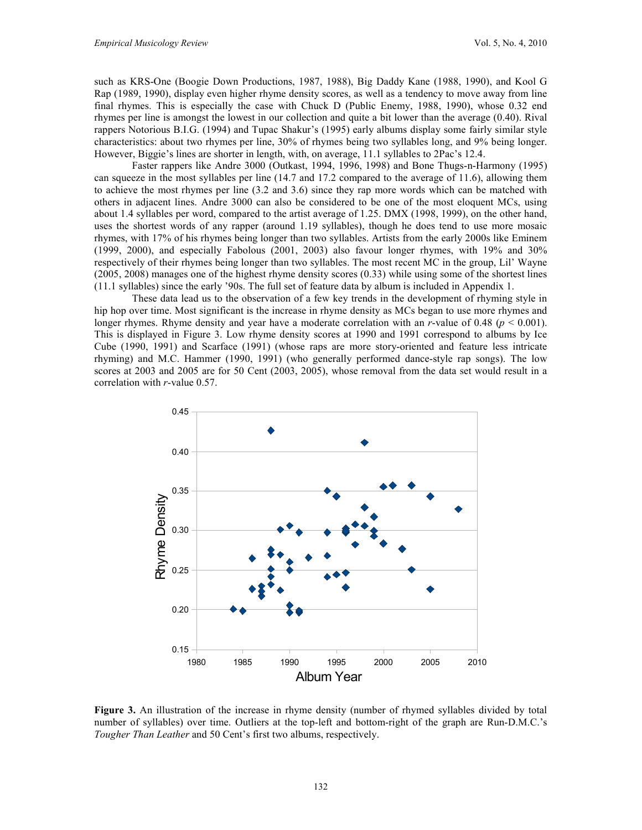such as KRS-One (Boogie Down Productions, 1987, 1988), Big Daddy Kane (1988, 1990), and Kool G Rap (1989, 1990), display even higher rhyme density scores, as well as a tendency to move away from line final rhymes. This is especially the case with Chuck D (Public Enemy, 1988, 1990), whose 0.32 end rhymes per line is amongst the lowest in our collection and quite a bit lower than the average (0.40). Rival rappers Notorious B.I.G. (1994) and Tupac Shakur's (1995) early albums display some fairly similar style characteristics: about two rhymes per line, 30% of rhymes being two syllables long, and 9% being longer. However, Biggie's lines are shorter in length, with, on average, 11.1 syllables to 2Pac's 12.4.

 Faster rappers like Andre 3000 (Outkast, 1994, 1996, 1998) and Bone Thugs-n-Harmony (1995) can squeeze in the most syllables per line (14.7 and 17.2 compared to the average of 11.6), allowing them to achieve the most rhymes per line (3.2 and 3.6) since they rap more words which can be matched with others in adjacent lines. Andre 3000 can also be considered to be one of the most eloquent MCs, using about 1.4 syllables per word, compared to the artist average of 1.25. DMX (1998, 1999), on the other hand, uses the shortest words of any rapper (around 1.19 syllables), though he does tend to use more mosaic rhymes, with 17% of his rhymes being longer than two syllables. Artists from the early 2000s like Eminem (1999, 2000), and especially Fabolous (2001, 2003) also favour longer rhymes, with 19% and 30% respectively of their rhymes being longer than two syllables. The most recent MC in the group, Lil' Wayne (2005, 2008) manages one of the highest rhyme density scores (0.33) while using some of the shortest lines (11.1 syllables) since the early '90s. The full set of feature data by album is included in Appendix 1.

 These data lead us to the observation of a few key trends in the development of rhyming style in hip hop over time. Most significant is the increase in rhyme density as MCs began to use more rhymes and longer rhymes. Rhyme density and year have a moderate correlation with an *r*-value of 0.48 (*p* < 0.001). This is displayed in Figure 3. Low rhyme density scores at 1990 and 1991 correspond to albums by Ice Cube (1990, 1991) and Scarface (1991) (whose raps are more story-oriented and feature less intricate rhyming) and M.C. Hammer (1990, 1991) (who generally performed dance-style rap songs). The low scores at 2003 and 2005 are for 50 Cent (2003, 2005), whose removal from the data set would result in a correlation with *r*-value 0.57.



**Figure 3.** An illustration of the increase in rhyme density (number of rhymed syllables divided by total number of syllables) over time. Outliers at the top-left and bottom-right of the graph are Run-D.M.C.'s *Tougher Than Leather* and 50 Cent's first two albums, respectively.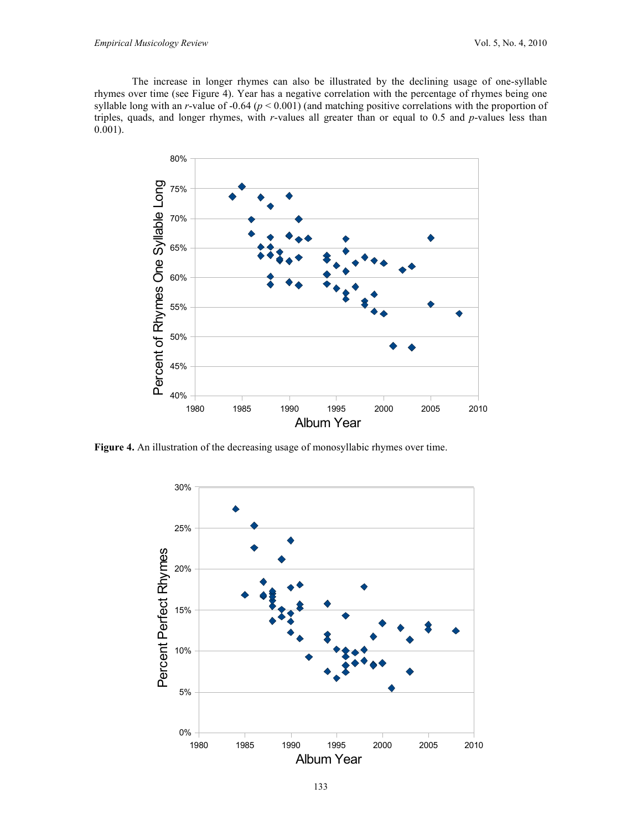The increase in longer rhymes can also be illustrated by the declining usage of one-syllable rhymes over time (see Figure 4). Year has a negative correlation with the percentage of rhymes being one syllable long with an *r*-value of -0.64 (*p* < 0.001) (and matching positive correlations with the proportion of triples, quads, and longer rhymes, with *r*-values all greater than or equal to 0.5 and *p*-values less than 0.001).



**Figure 4.** An illustration of the decreasing usage of monosyllabic rhymes over time.

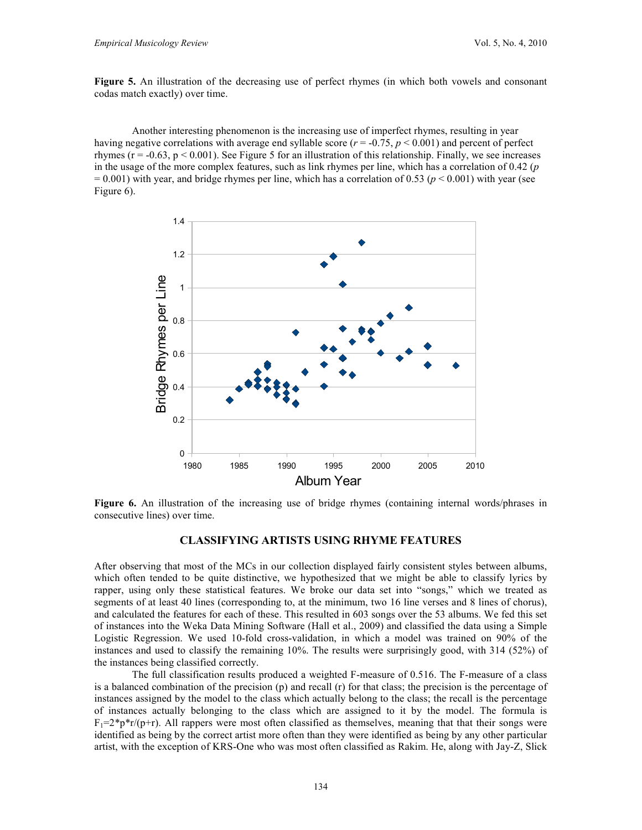*Empirical Musicology Review* Vol. 5, No. 4, 2010

**Figure 5.** An illustration of the decreasing use of perfect rhymes (in which both vowels and consonant codas match exactly) over time.

Another interesting phenomenon is the increasing use of imperfect rhymes, resulting in year having negative correlations with average end syllable score  $(r = -0.75, p \lt 0.001)$  and percent of perfect rhymes ( $r = -0.63$ ,  $p < 0.001$ ). See Figure 5 for an illustration of this relationship. Finally, we see increases in the usage of the more complex features, such as link rhymes per line, which has a correlation of 0.42 (*p*  $= 0.001$ ) with year, and bridge rhymes per line, which has a correlation of 0.53 ( $p \le 0.001$ ) with year (see Figure 6).



Figure 6. An illustration of the increasing use of bridge rhymes (containing internal words/phrases in consecutive lines) over time.

#### **CLASSIFYING ARTISTS USING RHYME FEATURES**

After observing that most of the MCs in our collection displayed fairly consistent styles between albums, which often tended to be quite distinctive, we hypothesized that we might be able to classify lyrics by rapper, using only these statistical features. We broke our data set into "songs," which we treated as segments of at least 40 lines (corresponding to, at the minimum, two 16 line verses and 8 lines of chorus), and calculated the features for each of these. This resulted in 603 songs over the 53 albums. We fed this set of instances into the Weka Data Mining Software (Hall et al., 2009) and classified the data using a Simple Logistic Regression. We used 10-fold cross-validation, in which a model was trained on 90% of the instances and used to classify the remaining 10%. The results were surprisingly good, with 314 (52%) of the instances being classified correctly.

The full classification results produced a weighted F-measure of 0.516. The F-measure of a class is a balanced combination of the precision (p) and recall (r) for that class; the precision is the percentage of instances assigned by the model to the class which actually belong to the class; the recall is the percentage of instances actually belonging to the class which are assigned to it by the model. The formula is  $F_1=2*p*r/(p+r)$ . All rappers were most often classified as themselves, meaning that that their songs were identified as being by the correct artist more often than they were identified as being by any other particular artist, with the exception of KRS-One who was most often classified as Rakim. He, along with Jay-Z, Slick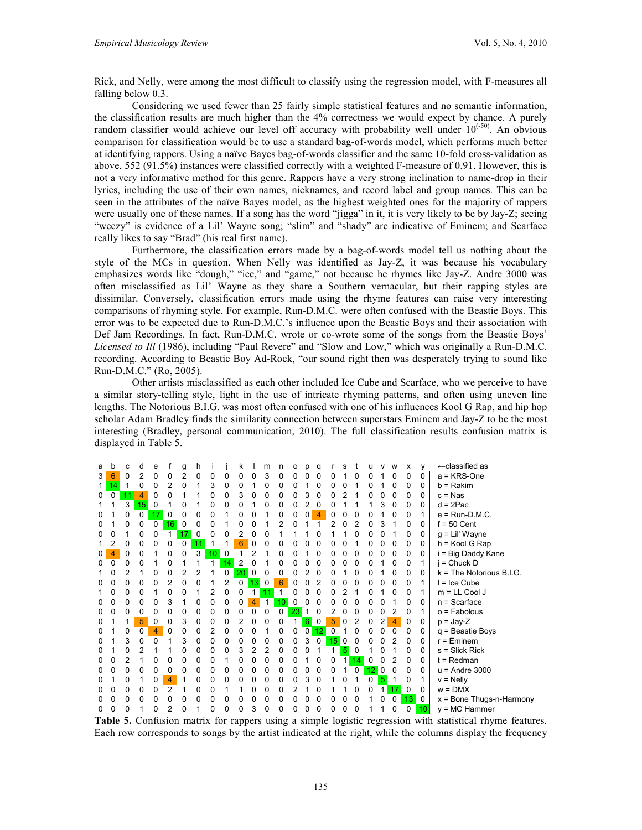Rick, and Nelly, were among the most difficult to classify using the regression model, with F-measures all falling below 0.3.

 Considering we used fewer than 25 fairly simple statistical features and no semantic information, the classification results are much higher than the 4% correctness we would expect by chance. A purely random classifier would achieve our level off accuracy with probability well under  $10^{(-50)}$ . An obvious comparison for classification would be to use a standard bag-of-words model, which performs much better at identifying rappers. Using a naïve Bayes bag-of-words classifier and the same 10-fold cross-validation as above, 552 (91.5%) instances were classified correctly with a weighted F-measure of 0.91. However, this is not a very informative method for this genre. Rappers have a very strong inclination to name-drop in their lyrics, including the use of their own names, nicknames, and record label and group names. This can be seen in the attributes of the naïve Bayes model, as the highest weighted ones for the majority of rappers were usually one of these names. If a song has the word "jigga" in it, it is very likely to be by Jay-Z; seeing "weezy" is evidence of a Lil' Wayne song; "slim" and "shady" are indicative of Eminem; and Scarface really likes to say "Brad" (his real first name).

 Furthermore, the classification errors made by a bag-of-words model tell us nothing about the style of the MCs in question. When Nelly was identified as Jay-Z, it was because his vocabulary emphasizes words like "dough," "ice," and "game," not because he rhymes like Jay-Z. Andre 3000 was often misclassified as Lil' Wayne as they share a Southern vernacular, but their rapping styles are dissimilar. Conversely, classification errors made using the rhyme features can raise very interesting comparisons of rhyming style. For example, Run-D.M.C. were often confused with the Beastie Boys. This error was to be expected due to Run-D.M.C.'s influence upon the Beastie Boys and their association with Def Jam Recordings. In fact, Run-D.M.C. wrote or co-wrote some of the songs from the Beastie Boys' *Licensed to Ill* (1986), including "Paul Revere" and "Slow and Low," which was originally a Run-D.M.C. recording. According to Beastie Boy Ad-Rock, "our sound right then was desperately trying to sound like Run-D.M.C." (Ro, 2005).

 Other artists misclassified as each other included Ice Cube and Scarface, who we perceive to have a similar story-telling style, light in the use of intricate rhyming patterns, and often using uneven line lengths. The Notorious B.I.G. was most often confused with one of his influences Kool G Rap, and hip hop scholar Adam Bradley finds the similarity connection between superstars Eminem and Jay-Z to be the most interesting (Bradley, personal communication, 2010). The full classification results confusion matrix is displayed in Table 5.

| а | b  | c | d                | е  |    | g              | h  |    |    | k  |    | m  | n | о  | р | q               |                 | s |    | u  | v  | W  | x  |                 | $\leftarrow$ classified as |
|---|----|---|------------------|----|----|----------------|----|----|----|----|----|----|---|----|---|-----------------|-----------------|---|----|----|----|----|----|-----------------|----------------------------|
| 3 | 6  | 0 | 2                | 0  | 0  | $\overline{2}$ | 0  | 0  | 0  | 0  | 0  | 3  | 0 | 0  | ი | 0               | 0               | 1 | 0  | 0  | 1  | 0  | 0  | $\Omega$        | $a = KRS$ -One             |
|   | 14 |   | 0                | 0  | 2  | 0              |    | 3  | 0  | 0  |    | 0  | 0 | 0  |   | 0               | 0               | 0 |    | 0  |    | 0  | 0  | $\Omega$        | $b = Rakim$                |
| 0 | 0  |   | 4                | 0  | 0  |                |    | 0  | 0  | 3  | 0  | 0  | 0 | 0  |   | 0               |                 |   |    | 0  | 0  | 0  | 0  | 0               | $c =$ Nas                  |
|   |    | 3 | 15 <sub>15</sub> | 0  |    | 0              |    | 0  | 0  | 0  |    | 0  |   | 0  |   |                 |                 |   |    |    | 3  | 0  | 0  | $\Omega$        | $d = 2Pac$                 |
| 0 |    | 0 | 0                | 17 | 0  | 0              | 0  | 0  |    | 0  | 0  |    | 0 | 0  | 0 | 4               | 0               |   |    | 0  |    | 0  | 0  | 1               | $e = Run-D.M.C.$           |
|   |    | 0 | 0                | 0  | 16 | 0              | 0  | 0  |    | 0  | 0  |    |   |    |   |                 |                 | 0 |    | 0  | 3  |    | 0  | 0               | $f = 50$ Cent              |
|   | 0  |   | 0                | 0  |    | 17             | 0  | 0  | Ω  |    | 0  | 0  |   |    |   | C               |                 |   | 0  | 0  | 0  |    | 0  | 0               | $q = Lil'$ Wayne           |
|   | 2  | 0 | 0                | 0  | 0  | 0              | 11 |    |    | 6  | 0  | 0  |   |    |   | 0               |                 |   |    | 0  | 0  | 0  | 0  | 0               | $h =$ Kool G Rap           |
| 0 | 4  | 0 | 0                |    | 0  | 0              | 3  | 10 | 0  |    |    |    |   |    |   | 0               | 0               | 0 | 0  | 0  | 0  | 0  | 0  | 0               | i = Big Daddy Kane         |
|   | 0  | ი | 0                |    | 0  |                |    |    | 14 | 2  | ი  |    |   |    |   |                 |                 |   | 0  | 0  |    | 0  | 0  |                 | $=$ Chuck D                |
|   | 0  | 2 |                  | 0  | 0  | 2              | 2  |    | 0  | 20 | 0  |    |   | 0  |   | 0               | 0               |   | 0  | 0  |    | 0  | 0  | 0               | $k =$ The Notorious B.I.G. |
|   | 0  | 0 | 0                | 0  |    | 0              | 0  |    | 2  | 0  | 13 | 0  | 6 | 0  |   |                 |                 |   | 0  | 0  | 0  | 0  | 0  | 1               | $=$ Ice Cube               |
|   | 0  | 0 | 0                |    | 0  | 0              |    | 2  | 0  | 0  | 1  | 11 |   | 0  |   | 0               |                 |   |    | 0  |    | 0  | 0  |                 | $m = LL$ Cool J            |
| 0 | 0  | 0 | 0                | 0  | 3  |                | 0  | 0  | 0  |    | 4  |    |   | 0  |   | 0               |                 |   |    | 0  | 0  |    | 0  | 0               | $n =$ Scarface             |
|   | 0  |   | 0                | 0  | 0  | 0              | 0  | 0  | 0  | 0  | 0  | 0  | 0 | 23 |   | 0               |                 |   | 0  | 0  | 0  | 2  | 0  | 1               | $o = Fabolous$             |
| 0 | 1  |   | 5                | 0  | 0  | 3              | 0  | 0  | 0  | 2  | 0  | 0  | 0 |    | 6 | 0               | 5               | 0 | 2  | 0  | 2  | 4  | 0  | 0               | $p = Jay-Z$                |
|   |    | 0 | 0                | 4  | 0  | 0              | 0  | 2  | 0  | 0  | 0  |    | 0 | 0  | 0 | 12 <sub>2</sub> | 0               |   | 0  | 0  | 0  | 0  | 0  | 0               | $q =$ Beastie Boys         |
| 0 |    | 3 | 0                | 0  |    | 3              | 0  | 0  | 0  | 0  | 0  | 0  | 0 | 0  | 3 | 0               | 15 <sup>1</sup> | 0 | 0  | 0  | 0  | 2  | 0  | 0               | $r =$ Eminem               |
|   |    | 0 | 2                |    |    | 0              | 0  | 0  | 0  | 3  | 2  | 2  | 0 | 0  |   |                 |                 | 5 | 0  |    | 0  |    | 0  | 0               | $s = Slick Rick$           |
|   | 0  | 2 |                  | 0  | 0  | 0              | 0  | 0  |    | 0  | 0  | 0  | 0 |    |   | 0               | 0               |   | 14 | 0  | 0  | 2  | 0  | 0               | $t = Redman$               |
|   | 0  | 0 | 0                | 0  |    | 0              | 0  | 0  | 0  | 0  | 0  | 0  | 0 |    |   | 0               | 0               |   | 0  | 12 | 0  | 0  | 0  | 0               | $u =$ Andre 3000           |
| 0 | 1  | 0 |                  | 0  | 4  | 1              | 0  | 0  | 0  | 0  | 0  | 0  | 0 | 0  | 3 | 0               |                 |   |    | 0  | 5  | 1  | 0  | 1               | $v =$ Nelly                |
|   | 0  | 0 | 0                | 0  | 2  |                | 0  | 0  |    |    | 0  | 0  | 0 |    |   | 0               |                 |   | 0  | 0  | 1. | 17 | 0  | $\Omega$        | $w = DMX$                  |
| 0 | 0  | 0 | 0                | 0  |    | 0              |    | 0  | 0  |    | 0  | 0  |   |    |   |                 |                 |   |    |    | 0  | 0  | 13 | 0               | $x =$ Bone Thugs-n-Harmony |
| 0 | 0  | 0 |                  | 0  | 2  | 0              |    | 0  | 0  | 0  | 3  | 0  | 0 |    |   |                 | 0               | 0 | 0  |    |    | 0  | 0  | 10 <sub>1</sub> | $v = MC$ Hammer            |

**Table 5.** Confusion matrix for rappers using a simple logistic regression with statistical rhyme features. Each row corresponds to songs by the artist indicated at the right, while the columns display the frequency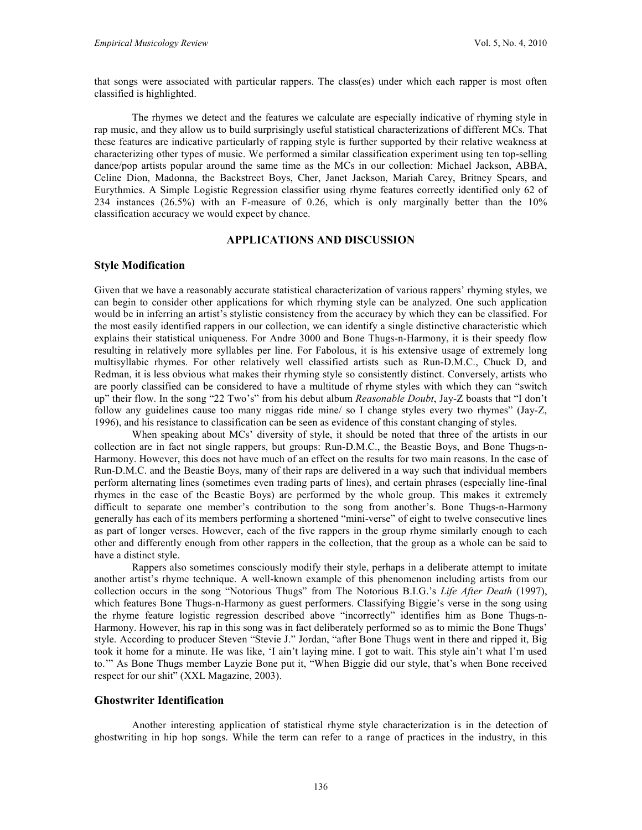that songs were associated with particular rappers. The class(es) under which each rapper is most often classified is highlighted.

 The rhymes we detect and the features we calculate are especially indicative of rhyming style in rap music, and they allow us to build surprisingly useful statistical characterizations of different MCs. That these features are indicative particularly of rapping style is further supported by their relative weakness at characterizing other types of music. We performed a similar classification experiment using ten top-selling dance/pop artists popular around the same time as the MCs in our collection: Michael Jackson, ABBA, Celine Dion, Madonna, the Backstreet Boys, Cher, Janet Jackson, Mariah Carey, Britney Spears, and Eurythmics. A Simple Logistic Regression classifier using rhyme features correctly identified only 62 of 234 instances (26.5%) with an F-measure of 0.26, which is only marginally better than the 10% classification accuracy we would expect by chance.

### **APPLICATIONS AND DISCUSSION**

### **Style Modification**

Given that we have a reasonably accurate statistical characterization of various rappers' rhyming styles, we can begin to consider other applications for which rhyming style can be analyzed. One such application would be in inferring an artist's stylistic consistency from the accuracy by which they can be classified. For the most easily identified rappers in our collection, we can identify a single distinctive characteristic which explains their statistical uniqueness. For Andre 3000 and Bone Thugs-n-Harmony, it is their speedy flow resulting in relatively more syllables per line. For Fabolous, it is his extensive usage of extremely long multisyllabic rhymes. For other relatively well classified artists such as Run-D.M.C., Chuck D, and Redman, it is less obvious what makes their rhyming style so consistently distinct. Conversely, artists who are poorly classified can be considered to have a multitude of rhyme styles with which they can "switch up" their flow. In the song "22 Two's" from his debut album *Reasonable Doubt*, Jay-Z boasts that "I don't follow any guidelines cause too many niggas ride mine/ so I change styles every two rhymes" (Jay-Z, 1996), and his resistance to classification can be seen as evidence of this constant changing of styles.

 When speaking about MCs' diversity of style, it should be noted that three of the artists in our collection are in fact not single rappers, but groups: Run-D.M.C., the Beastie Boys, and Bone Thugs-n-Harmony. However, this does not have much of an effect on the results for two main reasons. In the case of Run-D.M.C. and the Beastie Boys, many of their raps are delivered in a way such that individual members perform alternating lines (sometimes even trading parts of lines), and certain phrases (especially line-final rhymes in the case of the Beastie Boys) are performed by the whole group. This makes it extremely difficult to separate one member's contribution to the song from another's. Bone Thugs-n-Harmony generally has each of its members performing a shortened "mini-verse" of eight to twelve consecutive lines as part of longer verses. However, each of the five rappers in the group rhyme similarly enough to each other and differently enough from other rappers in the collection, that the group as a whole can be said to have a distinct style.

 Rappers also sometimes consciously modify their style, perhaps in a deliberate attempt to imitate another artist's rhyme technique. A well-known example of this phenomenon including artists from our collection occurs in the song "Notorious Thugs" from The Notorious B.I.G.'s *Life After Death* (1997), which features Bone Thugs-n-Harmony as guest performers. Classifying Biggie's verse in the song using the rhyme feature logistic regression described above "incorrectly" identifies him as Bone Thugs-n-Harmony. However, his rap in this song was in fact deliberately performed so as to mimic the Bone Thugs' style. According to producer Steven "Stevie J." Jordan, "after Bone Thugs went in there and ripped it, Big took it home for a minute. He was like, 'I ain't laying mine. I got to wait. This style ain't what I'm used to.'" As Bone Thugs member Layzie Bone put it, "When Biggie did our style, that's when Bone received respect for our shit" (XXL Magazine, 2003).

### **Ghostwriter Identification**

 Another interesting application of statistical rhyme style characterization is in the detection of ghostwriting in hip hop songs. While the term can refer to a range of practices in the industry, in this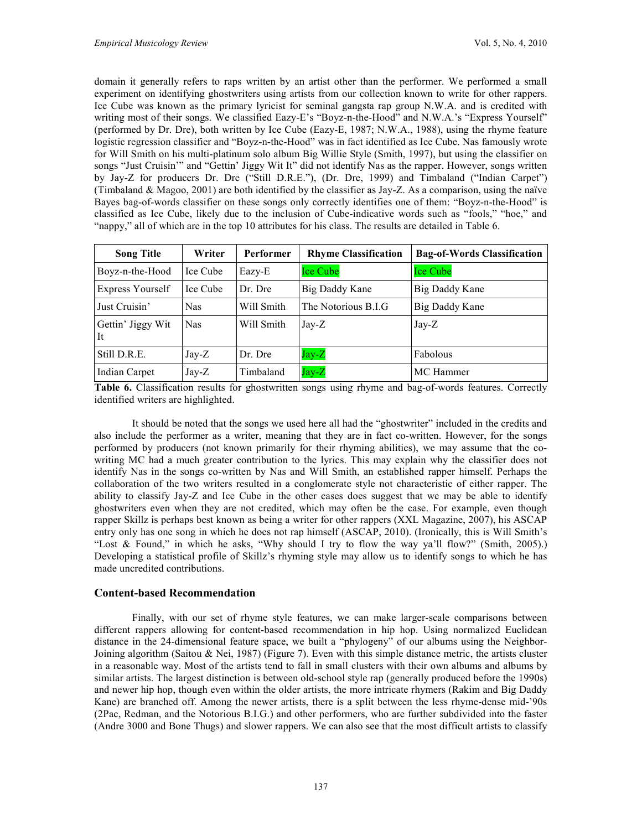domain it generally refers to raps written by an artist other than the performer. We performed a small experiment on identifying ghostwriters using artists from our collection known to write for other rappers. Ice Cube was known as the primary lyricist for seminal gangsta rap group N.W.A. and is credited with writing most of their songs. We classified Eazy-E's "Boyz-n-the-Hood" and N.W.A.'s "Express Yourself" (performed by Dr. Dre), both written by Ice Cube (Eazy-E, 1987; N.W.A., 1988), using the rhyme feature logistic regression classifier and "Boyz-n-the-Hood" was in fact identified as Ice Cube. Nas famously wrote for Will Smith on his multi-platinum solo album Big Willie Style (Smith, 1997), but using the classifier on songs "Just Cruisin'" and "Gettin' Jiggy Wit It" did not identify Nas as the rapper. However, songs written by Jay-Z for producers Dr. Dre ("Still D.R.E."), (Dr. Dre, 1999) and Timbaland ("Indian Carpet") (Timbaland & Magoo, 2001) are both identified by the classifier as Jay-Z. As a comparison, using the naïve Bayes bag-of-words classifier on these songs only correctly identifies one of them: "Boyz-n-the-Hood" is classified as Ice Cube, likely due to the inclusion of Cube-indicative words such as "fools," "hoe," and "nappy," all of which are in the top 10 attributes for his class. The results are detailed in Table 6.

| <b>Song Title</b>       | Writer     | Performer  | <b>Rhyme Classification</b> | <b>Bag-of-Words Classification</b> |
|-------------------------|------------|------------|-----------------------------|------------------------------------|
| Boyz-n-the-Hood         | Ice Cube   | Eazy-E     | <b>Ice Cube</b>             | <b>Ice Cube</b>                    |
| <b>Express Yourself</b> | Ice Cube   | Dr. Dre    | Big Daddy Kane              | Big Daddy Kane                     |
| Just Cruisin'           | <b>Nas</b> | Will Smith | The Notorious B.I.G         | Big Daddy Kane                     |
| Gettin' Jiggy Wit<br>It | <b>Nas</b> | Will Smith | $Jay-Z$                     | $Jay-Z$                            |
| Still D.R.E.            | $Jay-Z$    | Dr. Dre    | $Jay-Z$                     | Fabolous                           |
| Indian Carpet           | Jay-Z      | Timbaland  | Jay-Z                       | MC Hammer                          |

**Table 6.** Classification results for ghostwritten songs using rhyme and bag-of-words features. Correctly identified writers are highlighted.

 It should be noted that the songs we used here all had the "ghostwriter" included in the credits and also include the performer as a writer, meaning that they are in fact co-written. However, for the songs performed by producers (not known primarily for their rhyming abilities), we may assume that the cowriting MC had a much greater contribution to the lyrics. This may explain why the classifier does not identify Nas in the songs co-written by Nas and Will Smith, an established rapper himself. Perhaps the collaboration of the two writers resulted in a conglomerate style not characteristic of either rapper. The ability to classify Jay-Z and Ice Cube in the other cases does suggest that we may be able to identify ghostwriters even when they are not credited, which may often be the case. For example, even though rapper Skillz is perhaps best known as being a writer for other rappers (XXL Magazine, 2007), his ASCAP entry only has one song in which he does not rap himself (ASCAP, 2010). (Ironically, this is Will Smith's "Lost & Found," in which he asks, "Why should I try to flow the way ya'll flow?" (Smith, 2005).) Developing a statistical profile of Skillz's rhyming style may allow us to identify songs to which he has made uncredited contributions.

# **Content-based Recommendation**

 Finally, with our set of rhyme style features, we can make larger-scale comparisons between different rappers allowing for content-based recommendation in hip hop. Using normalized Euclidean distance in the 24-dimensional feature space, we built a "phylogeny" of our albums using the Neighbor-Joining algorithm (Saitou & Nei, 1987) (Figure 7). Even with this simple distance metric, the artists cluster in a reasonable way. Most of the artists tend to fall in small clusters with their own albums and albums by similar artists. The largest distinction is between old-school style rap (generally produced before the 1990s) and newer hip hop, though even within the older artists, the more intricate rhymers (Rakim and Big Daddy Kane) are branched off. Among the newer artists, there is a split between the less rhyme-dense mid-'90s (2Pac, Redman, and the Notorious B.I.G.) and other performers, who are further subdivided into the faster (Andre 3000 and Bone Thugs) and slower rappers. We can also see that the most difficult artists to classify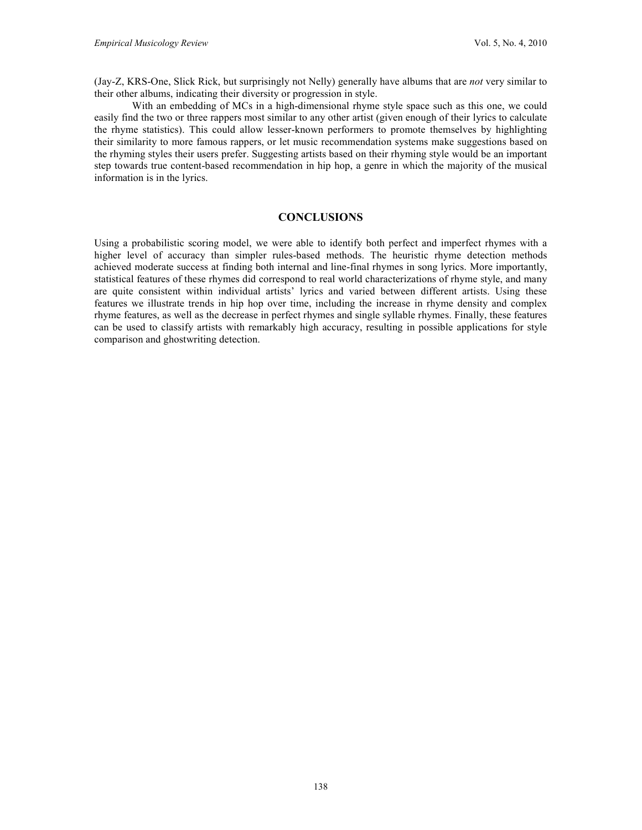(Jay-Z, KRS-One, Slick Rick, but surprisingly not Nelly) generally have albums that are *not* very similar to their other albums, indicating their diversity or progression in style.

 With an embedding of MCs in a high-dimensional rhyme style space such as this one, we could easily find the two or three rappers most similar to any other artist (given enough of their lyrics to calculate the rhyme statistics). This could allow lesser-known performers to promote themselves by highlighting their similarity to more famous rappers, or let music recommendation systems make suggestions based on the rhyming styles their users prefer. Suggesting artists based on their rhyming style would be an important step towards true content-based recommendation in hip hop, a genre in which the majority of the musical information is in the lyrics.

# **CONCLUSIONS**

Using a probabilistic scoring model, we were able to identify both perfect and imperfect rhymes with a higher level of accuracy than simpler rules-based methods. The heuristic rhyme detection methods achieved moderate success at finding both internal and line-final rhymes in song lyrics. More importantly, statistical features of these rhymes did correspond to real world characterizations of rhyme style, and many are quite consistent within individual artists' lyrics and varied between different artists. Using these features we illustrate trends in hip hop over time, including the increase in rhyme density and complex rhyme features, as well as the decrease in perfect rhymes and single syllable rhymes. Finally, these features can be used to classify artists with remarkably high accuracy, resulting in possible applications for style comparison and ghostwriting detection.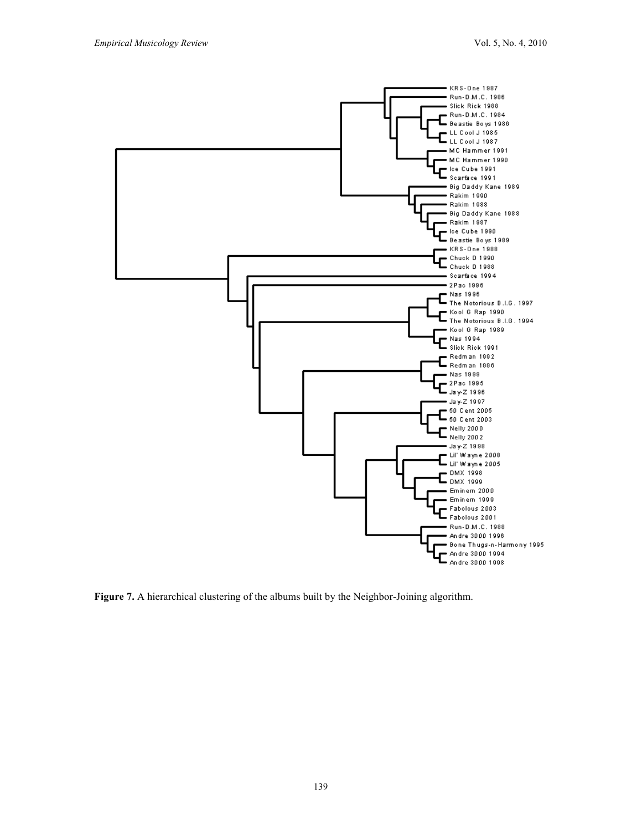

**Figure 7.** A hierarchical clustering of the albums built by the Neighbor-Joining algorithm.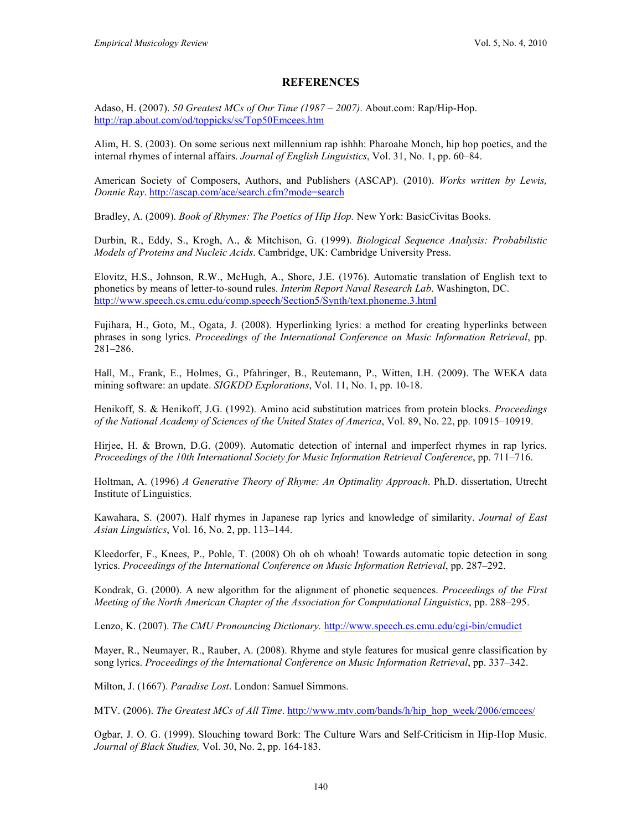# **REFERENCES**

Adaso, H. (2007). *50 Greatest MCs of Our Time (1987 – 2007)*. About.com: Rap/Hip-Hop. http://rap.about.com/od/toppicks/ss/Top50Emcees.htm

Alim, H. S. (2003). On some serious next millennium rap ishhh: Pharoahe Monch, hip hop poetics, and the internal rhymes of internal affairs. *Journal of English Linguistics*, Vol. 31, No. 1, pp. 60–84.

American Society of Composers, Authors, and Publishers (ASCAP). (2010). *Works written by Lewis, Donnie Ray*. http://ascap.com/ace/search.cfm?mode=search

Bradley, A. (2009). *Book of Rhymes: The Poetics of Hip Hop.* New York: BasicCivitas Books.

Durbin, R., Eddy, S., Krogh, A., & Mitchison, G. (1999). *Biological Sequence Analysis: Probabilistic Models of Proteins and Nucleic Acids*. Cambridge, UK: Cambridge University Press.

Elovitz, H.S., Johnson, R.W., McHugh, A., Shore, J.E. (1976). Automatic translation of English text to phonetics by means of letter-to-sound rules. *Interim Report Naval Research Lab*. Washington, DC. http://www.speech.cs.cmu.edu/comp.speech/Section5/Synth/text.phoneme.3.html

Fujihara, H., Goto, M., Ogata, J. (2008). Hyperlinking lyrics: a method for creating hyperlinks between phrases in song lyrics. *Proceedings of the International Conference on Music Information Retrieval*, pp. 281–286.

Hall, M., Frank, E., Holmes, G., Pfahringer, B., Reutemann, P., Witten, I.H. (2009). The WEKA data mining software: an update. *SIGKDD Explorations*, Vol. 11, No. 1, pp. 10-18.

Henikoff, S. & Henikoff, J.G. (1992). Amino acid substitution matrices from protein blocks. *Proceedings of the National Academy of Sciences of the United States of America*, Vol. 89, No. 22, pp. 10915–10919.

Hirjee, H. & Brown, D.G. (2009). Automatic detection of internal and imperfect rhymes in rap lyrics. *Proceedings of the 10th International Society for Music Information Retrieval Conference*, pp. 711–716.

Holtman, A. (1996) *A Generative Theory of Rhyme: An Optimality Approach*. Ph.D. dissertation, Utrecht Institute of Linguistics.

Kawahara, S. (2007). Half rhymes in Japanese rap lyrics and knowledge of similarity. *Journal of East Asian Linguistics*, Vol. 16, No. 2, pp. 113–144.

Kleedorfer, F., Knees, P., Pohle, T. (2008) Oh oh oh whoah! Towards automatic topic detection in song lyrics. *Proceedings of the International Conference on Music Information Retrieval*, pp. 287–292.

Kondrak, G. (2000). A new algorithm for the alignment of phonetic sequences. *Proceedings of the First Meeting of the North American Chapter of the Association for Computational Linguistics*, pp. 288–295.

Lenzo, K. (2007). *The CMU Pronouncing Dictionary.* http://www.speech.cs.cmu.edu/cgi-bin/cmudict

Mayer, R., Neumayer, R., Rauber, A. (2008). Rhyme and style features for musical genre classification by song lyrics. *Proceedings of the International Conference on Music Information Retrieval*, pp. 337–342.

Milton, J. (1667). *Paradise Lost*. London: Samuel Simmons.

MTV. (2006). *The Greatest MCs of All Time*. http://www.mtv.com/bands/h/hip\_hop\_week/2006/emcees/

Ogbar, J. O. G. (1999). Slouching toward Bork: The Culture Wars and Self-Criticism in Hip-Hop Music. *Journal of Black Studies,* Vol. 30, No. 2, pp. 164-183.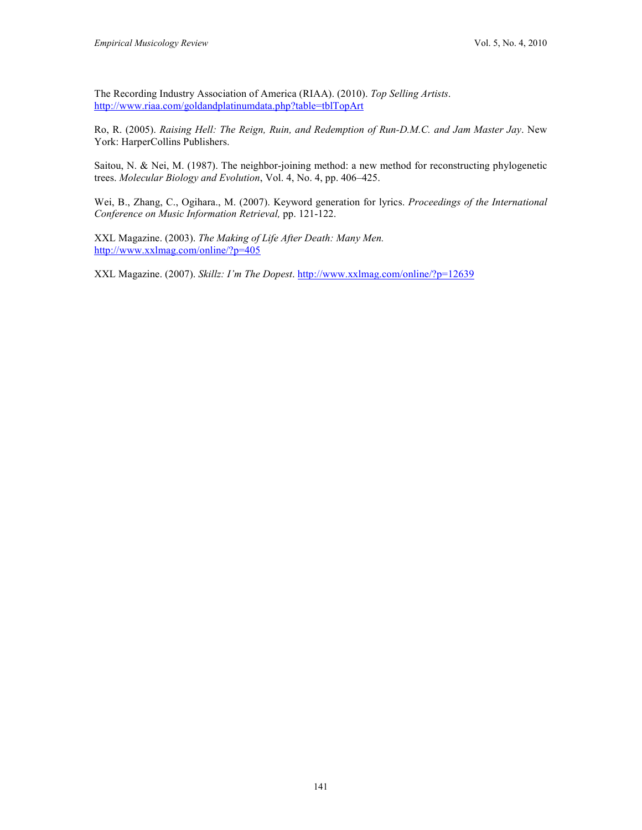The Recording Industry Association of America (RIAA). (2010). *Top Selling Artists*. http://www.riaa.com/goldandplatinumdata.php?table=tblTopArt

Ro, R. (2005). *Raising Hell: The Reign, Ruin, and Redemption of Run-D.M.C. and Jam Master Jay*. New York: HarperCollins Publishers.

Saitou, N. & Nei, M. (1987). The neighbor-joining method: a new method for reconstructing phylogenetic trees. *Molecular Biology and Evolution*, Vol. 4, No. 4, pp. 406–425.

Wei, B., Zhang, C., Ogihara., M. (2007). Keyword generation for lyrics. *Proceedings of the International Conference on Music Information Retrieval,* pp. 121-122.

XXL Magazine. (2003). *The Making of Life After Death: Many Men.* http://www.xxlmag.com/online/?p=405

XXL Magazine. (2007). *Skillz: I'm The Dopest*. http://www.xxlmag.com/online/?p=12639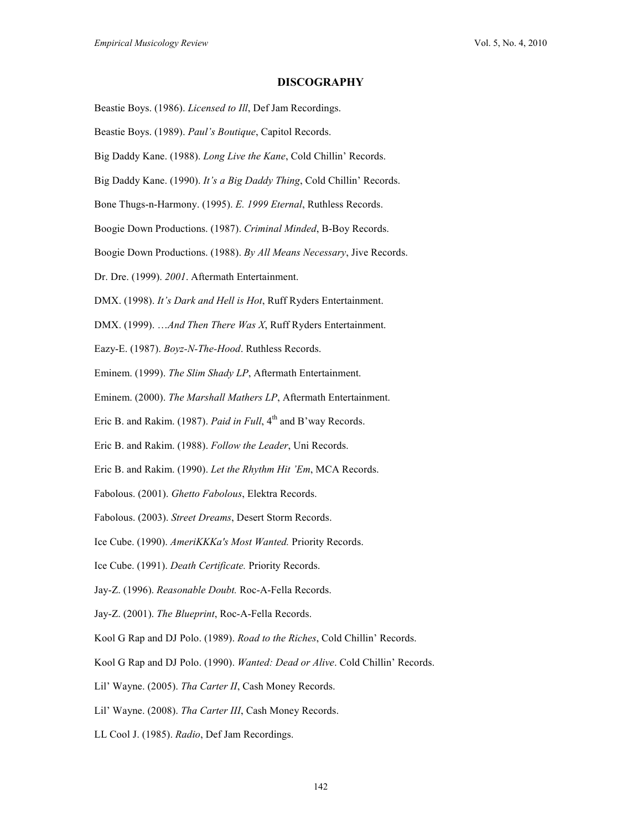#### **DISCOGRAPHY**

- Beastie Boys. (1986). *Licensed to Ill*, Def Jam Recordings.
- Beastie Boys. (1989). *Paul's Boutique*, Capitol Records.
- Big Daddy Kane. (1988). *Long Live the Kane*, Cold Chillin' Records.
- Big Daddy Kane. (1990). *It's a Big Daddy Thing*, Cold Chillin' Records.
- Bone Thugs-n-Harmony. (1995). *E. 1999 Eternal*, Ruthless Records.
- Boogie Down Productions. (1987). *Criminal Minded*, B-Boy Records.
- Boogie Down Productions. (1988). *By All Means Necessary*, Jive Records.
- Dr. Dre. (1999). *2001*. Aftermath Entertainment.
- DMX. (1998). *It's Dark and Hell is Hot*, Ruff Ryders Entertainment.
- DMX. (1999). …*And Then There Was X*, Ruff Ryders Entertainment.
- Eazy-E. (1987). *Boyz-N-The-Hood*. Ruthless Records.
- Eminem. (1999). *The Slim Shady LP*, Aftermath Entertainment.
- Eminem. (2000). *The Marshall Mathers LP*, Aftermath Entertainment.
- Eric B. and Rakim. (1987). *Paid in Full*, 4<sup>th</sup> and B'way Records.
- Eric B. and Rakim. (1988). *Follow the Leader*, Uni Records.
- Eric B. and Rakim. (1990). *Let the Rhythm Hit 'Em*, MCA Records.
- Fabolous. (2001). *Ghetto Fabolous*, Elektra Records.
- Fabolous. (2003). *Street Dreams*, Desert Storm Records.
- Ice Cube. (1990). *AmeriKKKa's Most Wanted.* Priority Records.
- Ice Cube. (1991). *Death Certificate.* Priority Records.
- Jay-Z. (1996). *Reasonable Doubt.* Roc-A-Fella Records.
- Jay-Z. (2001). *The Blueprint*, Roc-A-Fella Records.
- Kool G Rap and DJ Polo. (1989). *Road to the Riches*, Cold Chillin' Records.
- Kool G Rap and DJ Polo. (1990). *Wanted: Dead or Alive*. Cold Chillin' Records.
- Lil' Wayne. (2005). *Tha Carter II*, Cash Money Records.
- Lil' Wayne. (2008). *Tha Carter III*, Cash Money Records.
- LL Cool J. (1985). *Radio*, Def Jam Recordings.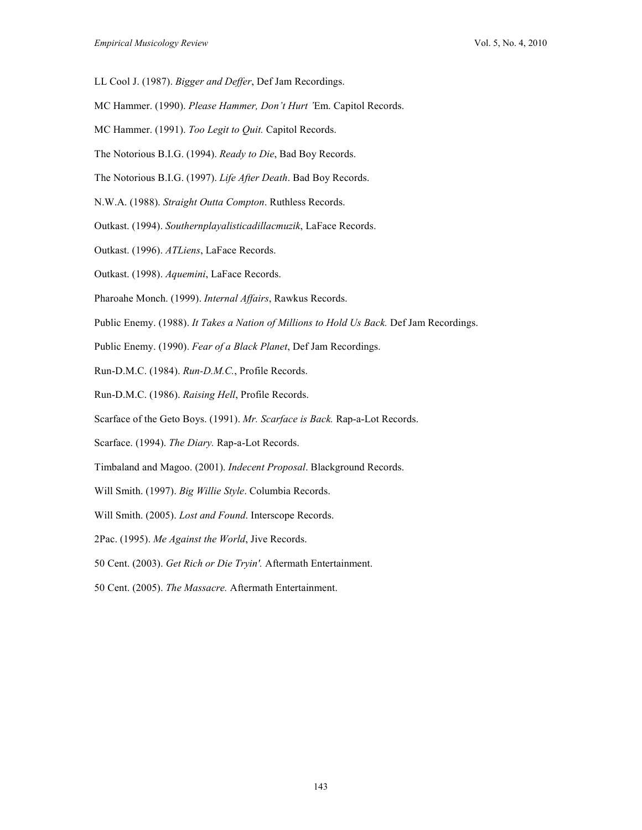- LL Cool J. (1987). *Bigger and Deffer*, Def Jam Recordings.
- MC Hammer. (1990). *Please Hammer, Don't Hurt '*Em. Capitol Records.
- MC Hammer. (1991). *Too Legit to Quit.* Capitol Records.
- The Notorious B.I.G. (1994). *Ready to Die*, Bad Boy Records.
- The Notorious B.I.G. (1997). *Life After Death*. Bad Boy Records.
- N.W.A. (1988). *Straight Outta Compton*. Ruthless Records.
- Outkast. (1994). *Southernplayalisticadillacmuzik*, LaFace Records.
- Outkast. (1996). *ATLiens*, LaFace Records.
- Outkast. (1998). *Aquemini*, LaFace Records.
- Pharoahe Monch. (1999). *Internal Affairs*, Rawkus Records.
- Public Enemy. (1988). *It Takes a Nation of Millions to Hold Us Back.* Def Jam Recordings.
- Public Enemy. (1990). *Fear of a Black Planet*, Def Jam Recordings.
- Run-D.M.C. (1984). *Run-D.M.C.*, Profile Records.
- Run-D.M.C. (1986). *Raising Hell*, Profile Records.
- Scarface of the Geto Boys. (1991). *Mr. Scarface is Back.* Rap-a-Lot Records.
- Scarface. (1994). *The Diary.* Rap-a-Lot Records.
- Timbaland and Magoo. (2001). *Indecent Proposal*. Blackground Records.
- Will Smith. (1997). *Big Willie Style*. Columbia Records.
- Will Smith. (2005). *Lost and Found*. Interscope Records.
- 2Pac. (1995). *Me Against the World*, Jive Records.
- 50 Cent. (2003). *Get Rich or Die Tryin'.* Aftermath Entertainment.
- 50 Cent. (2005). *The Massacre.* Aftermath Entertainment.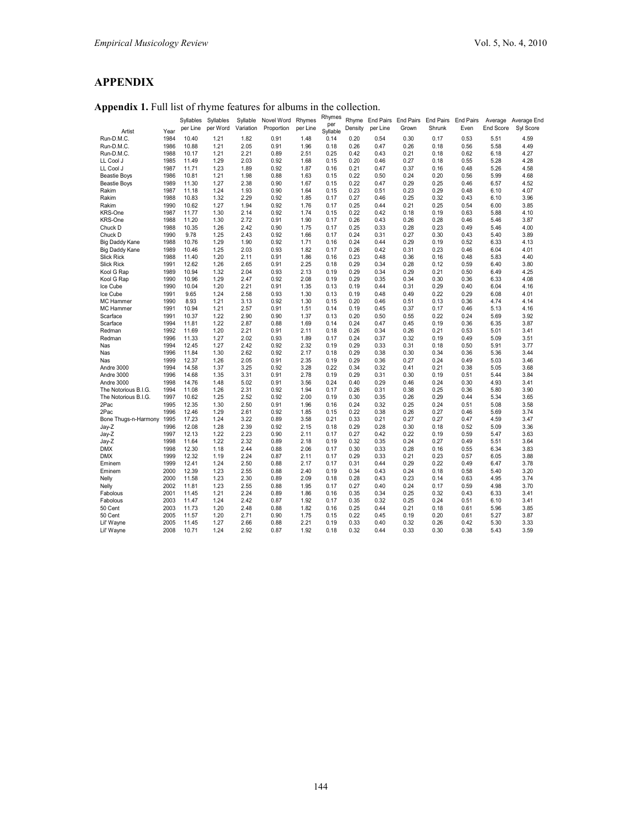# **APPENDIX**

# **Appendix 1.** Full list of rhyme features for albums in the collection.

|                      |      | Syllables | Syllables | Syllable  | Novel Word Rhymes |          | Rhymes   |         | Rhyme End Pairs | End Pairs | End Pairs End Pairs |      | Average   | Average End |
|----------------------|------|-----------|-----------|-----------|-------------------|----------|----------|---------|-----------------|-----------|---------------------|------|-----------|-------------|
|                      |      |           | per Word  | Variation |                   | per Line | per      |         | per Line        | Grown     | Shrunk              | Even | End Score | Syl Score   |
| Artist               | Year | per Line  |           |           | Proportion        |          | Syllable | Density |                 |           |                     |      |           |             |
| Run-D.M.C.           | 1984 | 10.40     | 1.21      | 1.82      | 0.91              | 1.48     | 0.14     | 0.20    | 0.54            | 0.30      | 0.17                | 0.53 | 5.51      | 4.59        |
| Run-D.M.C.           | 1986 | 10.88     | 1.21      | 2.05      | 0.91              | 1.96     | 0.18     | 0.26    | 0.47            | 0.26      | 0.18                | 0.56 | 5.58      | 4.49        |
| Run-D.M.C.           | 1988 | 10.17     | 1.21      | 2.21      | 0.89              | 2.51     | 0.25     | 0.42    | 0.43            | 0.21      | 0.18                | 0.62 | 6.18      | 4.27        |
| LL Cool J            | 1985 | 11.49     | 1.29      | 2.03      | 0.92              | 1.68     | 0.15     | 0.20    | 0.46            | 0.27      | 0.18                | 0.55 | 5.28      | 4.28        |
| LL Cool J            | 1987 | 11.71     | 1.23      | 1.89      | 0.92              | 1.87     | 0.16     | 0.21    | 0.47            | 0.37      | 0.16                | 0.48 | 5.26      | 4.58        |
| Beastie Boys         | 1986 | 10.81     | 1.21      | 1.98      | 0.88              | 1.63     | 0.15     | 0.22    | 0.50            | 0.24      | 0.20                | 0.56 | 5.99      | 4.68        |
| Beastie Boys         | 1989 | 11.30     | 1.27      | 2.38      | 0.90              | 1.67     | 0.15     | 0.22    | 0.47            | 0.29      | 0.25                | 0.46 | 6.57      | 4.52        |
| Rakim                | 1987 | 11.18     | 1.24      | 1.93      | 0.90              | 1.64     | 0.15     | 0.23    | 0.51            | 0.23      | 0.29                | 0.48 | 6.10      | 4.07        |
| Rakim                | 1988 | 10.83     | 1.32      | 2.29      | 0.92              | 1.85     | 0.17     | 0.27    | 0.46            | 0.25      | 0.32                | 0.43 | 6.10      | 3.96        |
|                      |      |           |           |           |                   |          |          |         |                 |           |                     |      |           |             |
| Rakim                | 1990 | 10.62     | 1.27      | 1.94      | 0.92              | 1.76     | 0.17     | 0.25    | 0.44            | 0.21      | 0.25                | 0.54 | 6.00      | 3.85        |
| KRS-One              | 1987 | 11.77     | 1.30      | 2.14      | 0.92              | 1.74     | 0.15     | 0.22    | 0.42            | 0.18      | 0.19                | 0.63 | 5.88      | 4.10        |
| <b>KRS-One</b>       | 1988 | 11.20     | 1.30      | 2.72      | 0.91              | 1.90     | 0.17     | 0.26    | 0.43            | 0.26      | 0.28                | 0.46 | 5.46      | 3.87        |
| Chuck D              | 1988 | 10.35     | 1.26      | 2.42      | 0.90              | 1.75     | 0.17     | 0.25    | 0.33            | 0.28      | 0.23                | 0.49 | 5.46      | 4.00        |
| Chuck D              | 1990 | 9.78      | 1.25      | 2.43      | 0.92              | 1.66     | 0.17     | 0.24    | 0.31            | 0.27      | 0.30                | 0.43 | 5.40      | 3.89        |
| Big Daddy Kane       | 1988 | 10.76     | 1.29      | 1.90      | 0.92              | 1.71     | 0.16     | 0.24    | 0.44            | 0.29      | 0.19                | 0.52 | 6.33      | 4.13        |
| Big Daddy Kane       | 1989 | 10.46     | 1.25      | 2.03      | 0.93              | 1.82     | 0.17     | 0.26    | 0.42            | 0.31      | 0.23                | 0.46 | 6.04      | 4.01        |
| <b>Slick Rick</b>    | 1988 | 11.40     | 1.20      | 2.11      | 0.91              | 1.86     | 0.16     | 0.23    | 0.48            | 0.36      | 0.16                | 0.48 | 5.83      | 4.40        |
| <b>Slick Rick</b>    | 1991 | 12.62     | 1.26      | 2.65      | 0.91              | 2.25     | 0.18     | 0.29    | 0.34            | 0.28      | 0.12                | 0.59 | 6.40      | 3.80        |
| Kool G Rap           | 1989 | 10.94     | 1.32      | 2.04      | 0.93              | 2.13     | 0.19     | 0.29    | 0.34            | 0.29      | 0.21                | 0.50 | 6.49      | 4.25        |
| Kool G Rap           | 1990 | 10.96     | 1.29      | 2.47      | 0.92              | 2.08     | 0.19     | 0.29    | 0.35            | 0.34      | 0.30                | 0.36 | 6.33      | 4.08        |
| Ice Cube             | 1990 | 10.04     | 1.20      | 2.21      | 0.91              | 1.35     | 0.13     | 0.19    | 0.44            | 0.31      | 0.29                | 0.40 | 6.04      | 4.16        |
| Ice Cube             | 1991 | 9.65      | 1.24      | 2.58      | 0.93              | 1.30     | 0.13     | 0.19    | 0.48            | 0.49      | 0.22                | 0.29 | 6.08      | 4.01        |
| MC Hammer            | 1990 | 8.93      | 1.21      | 3.13      | 0.92              | 1.30     | 0.15     | 0.20    | 0.46            | 0.51      | 0.13                | 0.36 | 4.74      | 4.14        |
| MC Hammer            | 1991 | 10.94     | 1.21      | 2.57      | 0.91              | 1.51     | 0.14     | 0.19    | 0.45            | 0.37      | 0.17                | 0.46 | 5.13      | 4.16        |
| Scarface             | 1991 | 10.37     | 1.22      | 2.90      | 0.90              | 1.37     | 0.13     | 0.20    | 0.50            | 0.55      | 0.22                | 0.24 | 5.69      | 3.92        |
| Scarface             | 1994 | 11.81     | 1.22      | 2.87      | 0.88              | 1.69     | 0.14     | 0.24    | 0.47            | 0.45      | 0.19                | 0.36 | 6.35      | 3.87        |
| Redman               | 1992 | 11.69     | 1.20      | 2.21      | 0.91              | 2.11     | 0.18     | 0.26    | 0.34            | 0.26      | 0.21                | 0.53 | 5.01      | 3.41        |
|                      | 1996 |           | 1.27      | 2.02      | 0.93              | 1.89     |          | 0.24    | 0.37            | 0.32      | 0.19                | 0.49 | 5.09      | 3.51        |
| Redman               |      | 11.33     |           |           |                   |          | 0.17     |         |                 |           |                     |      |           |             |
| Nas                  | 1994 | 12.45     | 1.27      | 2.42      | 0.92              | 2.32     | 0.19     | 0.29    | 0.33            | 0.31      | 0.18                | 0.50 | 5.91      | 3.77        |
| Nas                  | 1996 | 11.84     | 1.30      | 2.62      | 0.92              | 2.17     | 0.18     | 0.29    | 0.38            | 0.30      | 0.34                | 0.36 | 5.36      | 3.44        |
| Nas                  | 1999 | 12.37     | 1.26      | 2.05      | 0.91              | 2.35     | 0.19     | 0.29    | 0.36            | 0.27      | 0.24                | 0.49 | 5.03      | 3.46        |
| Andre 3000           | 1994 | 14.58     | 1.37      | 3.25      | 0.92              | 3.28     | 0.22     | 0.34    | 0.32            | 0.41      | 0.21                | 0.38 | 5.05      | 3.68        |
| Andre 3000           | 1996 | 14.68     | 1.35      | 3.31      | 0.91              | 2.78     | 0.19     | 0.29    | 0.31            | 0.30      | 0.19                | 0.51 | 5.44      | 3.84        |
| Andre 3000           | 1998 | 14.76     | 1.48      | 5.02      | 0.91              | 3.56     | 0.24     | 0.40    | 0.29            | 0.46      | 0.24                | 0.30 | 4.93      | 3.41        |
| The Notorious B.I.G. | 1994 | 11.08     | 1.26      | 2.31      | 0.92              | 1.94     | 0.17     | 0.26    | 0.31            | 0.38      | 0.25                | 0.36 | 5.80      | 3.90        |
| The Notorious B.I.G. | 1997 | 10.62     | 1.25      | 2.52      | 0.92              | 2.00     | 0.19     | 0.30    | 0.35            | 0.26      | 0.29                | 0.44 | 5.34      | 3.65        |
| 2Pac                 | 1995 | 12.35     | 1.30      | 2.50      | 0.91              | 1.96     | 0.16     | 0.24    | 0.32            | 0.25      | 0.24                | 0.51 | 5.08      | 3.58        |
| 2Pac                 | 1996 | 12.46     | 1.29      | 2.61      | 0.92              | 1.85     | 0.15     | 0.22    | 0.38            | 0.26      | 0.27                | 0.46 | 5.69      | 3.74        |
| Bone Thugs-n-Harmony | 1995 | 17.23     | 1.24      | 3.22      | 0.89              | 3.58     | 0.21     | 0.33    | 0.21            | 0.27      | 0.27                | 0.47 | 4.59      | 3.47        |
| Jay-Z                | 1996 | 12.08     | 1.28      | 2.39      | 0.92              | 2.15     | 0.18     | 0.29    | 0.28            | 0.30      | 0.18                | 0.52 | 5.09      | 3.36        |
| Jay-Z                | 1997 | 12.13     | 1.22      | 2.23      | 0.90              | 2.11     | 0.17     | 0.27    | 0.42            | 0.22      | 0.19                | 0.59 | 5.47      | 3.63        |
| Jay-Z                | 1998 | 11.64     | 1.22      | 2.32      | 0.89              | 2.18     | 0.19     | 0.32    | 0.35            | 0.24      | 0.27                | 0.49 | 5.51      | 3.64        |
| <b>DMX</b>           | 1998 | 12.30     | 1.18      | 2.44      | 0.88              | 2.06     | 0.17     | 0.30    | 0.33            | 0.28      | 0.16                | 0.55 | 6.34      | 3.83        |
| <b>DMX</b>           | 1999 | 12.32     | 1.19      | 2.24      | 0.87              | 2.11     | 0.17     | 0.29    | 0.33            | 0.21      | 0.23                | 0.57 | 6.05      | 3.88        |
| Eminem               | 1999 | 12.41     | 1.24      | 2.50      | 0.88              | 2.17     | 0.17     | 0.31    | 0.44            | 0.29      | 0.22                | 0.49 | 6.47      | 3.78        |
| Eminem               | 2000 | 12.39     | 1.23      | 2.55      | 0.88              | 2.40     | 0.19     | 0.34    | 0.43            | 0.24      | 0.18                | 0.58 | 5.40      | 3.20        |
|                      |      |           |           |           |                   |          |          |         |                 |           |                     |      |           |             |
| Nelly                | 2000 | 11.58     | 1.23      | 2.30      | 0.89              | 2.09     | 0.18     | 0.28    | 0.43            | 0.23      | 0.14                | 0.63 | 4.95      | 3.74        |
| Nelly                | 2002 | 11.81     | 1.23      | 2.55      | 0.88              | 1.95     | 0.17     | 0.27    | 0.40            | 0.24      | 0.17                | 0.59 | 4.98      | 3.70        |
| Fabolous             | 2001 | 11.45     | 1.21      | 2.24      | 0.89              | 1.86     | 0.16     | 0.35    | 0.34            | 0.25      | 0.32                | 0.43 | 6.33      | 3.41        |
| Fabolous             | 2003 | 11.47     | 1.24      | 2.42      | 0.87              | 1.92     | 0.17     | 0.35    | 0.32            | 0.25      | 0.24                | 0.51 | 6.10      | 3.41        |
| 50 Cent              | 2003 | 11.73     | 1.20      | 2.48      | 0.88              | 1.82     | 0.16     | 0.25    | 0.44            | 0.21      | 0.18                | 0.61 | 5.96      | 3.85        |
| 50 Cent              | 2005 | 11.57     | 1.20      | 2.71      | 0.90              | 1.75     | 0.15     | 0.22    | 0.45            | 0.19      | 0.20                | 0.61 | 5.27      | 3.87        |
| Lil' Wayne           | 2005 | 11.45     | 1.27      | 2.66      | 0.88              | 2.21     | 0.19     | 0.33    | 0.40            | 0.32      | 0.26                | 0.42 | 5.30      | 3.33        |
| Lil' Wayne           | 2008 | 10.71     | 1.24      | 2.92      | 0.87              | 1.92     | 0.18     | 0.32    | 0.44            | 0.33      | 0.30                | 0.38 | 5.43      | 3.59        |